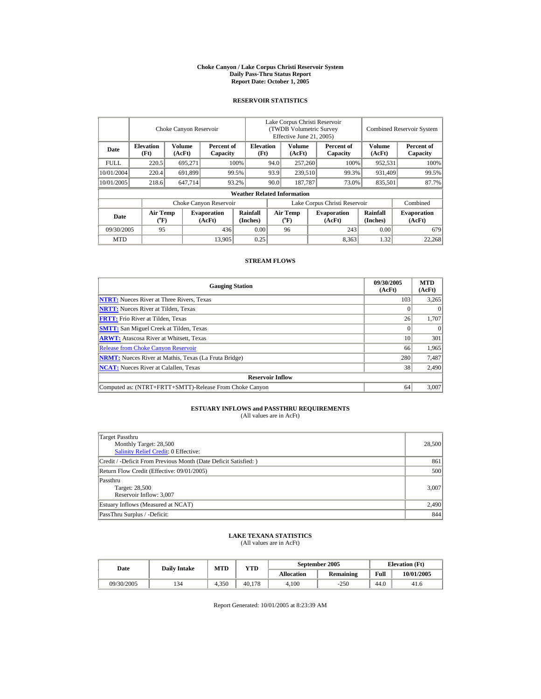#### **Choke Canyon / Lake Corpus Christi Reservoir System Daily Pass-Thru Status Report Report Date: October 1, 2005**

## **RESERVOIR STATISTICS**

|             | Choke Canyon Reservoir                      |                         |                              |                                    | Lake Corpus Christi Reservoir<br>(TWDB Volumetric Survey<br>Effective June 21, 2005) |                                       |  |                              |                      | <b>Combined Reservoir System</b> |
|-------------|---------------------------------------------|-------------------------|------------------------------|------------------------------------|--------------------------------------------------------------------------------------|---------------------------------------|--|------------------------------|----------------------|----------------------------------|
| Date        | <b>Elevation</b><br>(Ft)                    | <b>Volume</b><br>(AcFt) | Percent of<br>Capacity       | <b>Elevation</b><br>(Ft)           | Volume<br>(AcFt)                                                                     |                                       |  | Percent of<br>Capacity       | Volume<br>(AcFt)     | Percent of<br>Capacity           |
| <b>FULL</b> | 220.5                                       | 695,271                 |                              | 100%                               | 94.0                                                                                 | 257,260                               |  | 100%                         | 952,531              | 100%                             |
| 10/01/2004  | 220.4                                       | 691.899                 |                              | 99.5%                              | 93.9<br>239,510                                                                      |                                       |  | 99.3%                        | 931.409              | 99.5%                            |
| 10/01/2005  | 218.6                                       | 647,714                 |                              | 93.2%                              | 90.0                                                                                 | 187,787                               |  | 73.0%                        | 835,501              | 87.7%                            |
|             |                                             |                         |                              | <b>Weather Related Information</b> |                                                                                      |                                       |  |                              |                      |                                  |
|             |                                             |                         | Choke Canyon Reservoir       |                                    | Lake Corpus Christi Reservoir                                                        |                                       |  |                              |                      | Combined                         |
| Date        | <b>Air Temp</b><br>$({}^{\circ}\mathrm{F})$ |                         | <b>Evaporation</b><br>(AcFt) | Rainfall<br>(Inches)               |                                                                                      | <b>Air Temp</b><br>$({}^o\mathrm{F})$ |  | <b>Evaporation</b><br>(AcFt) | Rainfall<br>(Inches) | <b>Evaporation</b><br>(AcFt)     |
| 09/30/2005  | 95                                          |                         | 436                          | 0.00                               |                                                                                      | 96                                    |  | 243                          | 0.00                 | 679                              |
| <b>MTD</b>  |                                             |                         | 13,905                       | 0.25                               |                                                                                      |                                       |  | 8,363                        | 1.32                 | 22,268                           |

### **STREAM FLOWS**

| <b>Gauging Station</b>                                       | 09/30/2005<br>(AcFt) | <b>MTD</b><br>(AcFt) |
|--------------------------------------------------------------|----------------------|----------------------|
| <b>NTRT:</b> Nueces River at Three Rivers, Texas             | 103                  | 3,265                |
| <b>NRTT:</b> Nueces River at Tilden, Texas                   |                      | $\theta$             |
| <b>FRTT:</b> Frio River at Tilden, Texas                     | 26                   | 1,707                |
| <b>SMTT:</b> San Miguel Creek at Tilden, Texas               |                      | $\Omega$             |
| <b>ARWT:</b> Atascosa River at Whitsett, Texas               | 10                   | 301                  |
| <b>Release from Choke Canyon Reservoir</b>                   | 66                   | 1,965                |
| <b>NRMT:</b> Nueces River at Mathis, Texas (La Fruta Bridge) | 280                  | 7,487                |
| <b>NCAT:</b> Nueces River at Calallen, Texas                 | 38                   | 2,490                |
| <b>Reservoir Inflow</b>                                      |                      |                      |
| Computed as: (NTRT+FRTT+SMTT)-Release From Choke Canyon      | 64                   | 3.007                |

## **ESTUARY INFLOWS and PASSTHRU REQUIREMENTS**<br>(All values are in AcFt)

| Target Passthru<br>Monthly Target: 28,500<br>Salinity Relief Credit: 0 Effective: | 28,500 |
|-----------------------------------------------------------------------------------|--------|
| Credit / -Deficit From Previous Month (Date Deficit Satisfied:)                   | 861    |
| Return Flow Credit (Effective: 09/01/2005)                                        | 500    |
| Passthru<br>Target: 28,500<br>Reservoir Inflow: 3,007                             | 3,007  |
| Estuary Inflows (Measured at NCAT)                                                | 2,490  |
| PassThru Surplus / -Deficit:                                                      | 844    |

## **LAKE TEXANA STATISTICS** (All values are in AcFt)

| Date       | <b>Daily Intake</b> | <b>MTD</b> | <b>YTD</b> |                   | September 2005   | <b>Elevation</b> (Ft) |            |
|------------|---------------------|------------|------------|-------------------|------------------|-----------------------|------------|
|            |                     |            |            | <b>Allocation</b> | <b>Remaining</b> | Full                  | 10/01/2005 |
| 09/30/2005 | 134                 | 4.350      | 40.178     | 4.100             | $-250$           | 44.0                  | 41.6       |

Report Generated: 10/01/2005 at 8:23:39 AM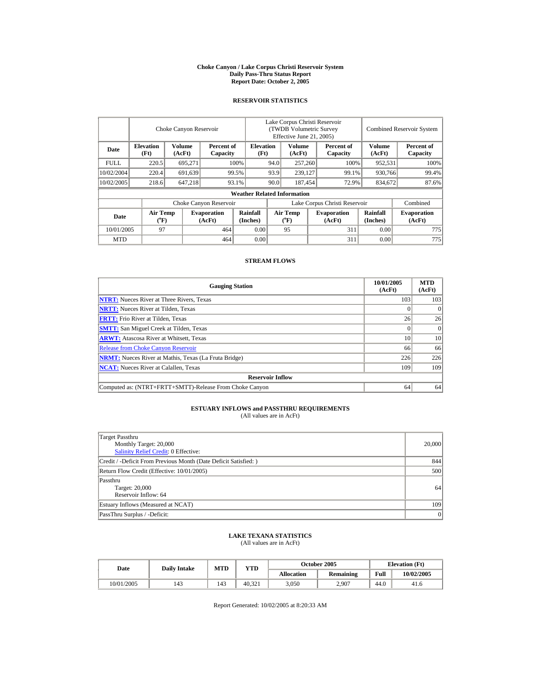#### **Choke Canyon / Lake Corpus Christi Reservoir System Daily Pass-Thru Status Report Report Date: October 2, 2005**

## **RESERVOIR STATISTICS**

|             | Choke Canyon Reservoir                      |                         |                              |                                    | Lake Corpus Christi Reservoir<br>(TWDB Volumetric Survey<br>Effective June 21, 2005) |                                       |                  |                              |                      | <b>Combined Reservoir System</b> |
|-------------|---------------------------------------------|-------------------------|------------------------------|------------------------------------|--------------------------------------------------------------------------------------|---------------------------------------|------------------|------------------------------|----------------------|----------------------------------|
| Date        | <b>Elevation</b><br>(Ft)                    | <b>Volume</b><br>(AcFt) | Percent of<br>Capacity       | <b>Elevation</b><br>(Ft)           | Volume<br>(AcFt)                                                                     |                                       |                  | Percent of<br>Capacity       | Volume<br>(AcFt)     | Percent of<br>Capacity           |
| <b>FULL</b> | 220.5                                       | 695.271                 |                              | 100%                               | 94.0                                                                                 | 257,260                               |                  | 100%                         | 952,531              | 100%                             |
| 10/02/2004  | 220.4                                       | 691,639                 |                              | 99.5%                              | 93.9                                                                                 |                                       | 239,127<br>99.1% |                              | 930.766              | 99.4%                            |
| 10/02/2005  | 218.6                                       | 647,218                 |                              | 93.1%                              | 90.0                                                                                 |                                       | 187.454<br>72.9% |                              | 834,672              | 87.6%                            |
|             |                                             |                         |                              | <b>Weather Related Information</b> |                                                                                      |                                       |                  |                              |                      |                                  |
|             |                                             |                         | Choke Canyon Reservoir       |                                    | Lake Corpus Christi Reservoir                                                        |                                       |                  |                              |                      | Combined                         |
| Date        | <b>Air Temp</b><br>$({}^{\circ}\mathrm{F})$ |                         | <b>Evaporation</b><br>(AcFt) | Rainfall<br>(Inches)               |                                                                                      | <b>Air Temp</b><br>$({}^o\mathrm{F})$ |                  | <b>Evaporation</b><br>(AcFt) | Rainfall<br>(Inches) | <b>Evaporation</b><br>(AcFt)     |
| 10/01/2005  | 97                                          |                         | 464                          | 0.00                               |                                                                                      | 95                                    |                  | 311                          | 0.00                 | 775                              |
| <b>MTD</b>  |                                             |                         | 464                          | 0.00                               |                                                                                      |                                       |                  | 311                          | 0.00                 | 775                              |

### **STREAM FLOWS**

| <b>Gauging Station</b>                                       | 10/01/2005<br>(AcFt) | <b>MTD</b><br>(AcFt) |
|--------------------------------------------------------------|----------------------|----------------------|
| <b>NTRT:</b> Nueces River at Three Rivers, Texas             | 103                  | 103                  |
| <b>NRTT:</b> Nueces River at Tilden, Texas                   |                      | $\Omega$             |
| <b>FRTT:</b> Frio River at Tilden, Texas                     | 26                   | 26                   |
| <b>SMTT:</b> San Miguel Creek at Tilden, Texas               |                      | $\Omega$             |
| <b>ARWT:</b> Atascosa River at Whitsett, Texas               | 10                   | 10                   |
| <b>Release from Choke Canyon Reservoir</b>                   | 66                   | 66                   |
| <b>NRMT:</b> Nueces River at Mathis, Texas (La Fruta Bridge) | 226                  | 226                  |
| <b>NCAT:</b> Nueces River at Calallen, Texas                 | 109                  | 109                  |
| <b>Reservoir Inflow</b>                                      |                      |                      |
| Computed as: (NTRT+FRTT+SMTT)-Release From Choke Canyon      | 64                   | 64                   |

## **ESTUARY INFLOWS and PASSTHRU REQUIREMENTS**<br>(All values are in AcFt)

| Target Passthru                                                 |        |
|-----------------------------------------------------------------|--------|
| Monthly Target: 20,000                                          | 20,000 |
| Salinity Relief Credit: 0 Effective:                            |        |
| Credit / -Deficit From Previous Month (Date Deficit Satisfied:) | 844    |
| Return Flow Credit (Effective: 10/01/2005)                      | 500    |
| Passthru                                                        |        |
| Target: 20,000                                                  | 64     |
| Reservoir Inflow: 64                                            |        |
| Estuary Inflows (Measured at NCAT)                              | 109    |
| PassThru Surplus / -Deficit:                                    | 0      |

## **LAKE TEXANA STATISTICS** (All values are in AcFt)

| Date       | <b>Daily Intake</b> | <b>MTD</b> | YTD    |            | October 2005 | <b>Elevation</b> (Ft) |            |
|------------|---------------------|------------|--------|------------|--------------|-----------------------|------------|
|            |                     |            |        | Allocation | Remaining    | Full                  | 10/02/2005 |
| 10/01/2005 | 143                 | 143        | 40.321 | 3,050      | 2,907        | 44.0                  | 41.6       |

Report Generated: 10/02/2005 at 8:20:33 AM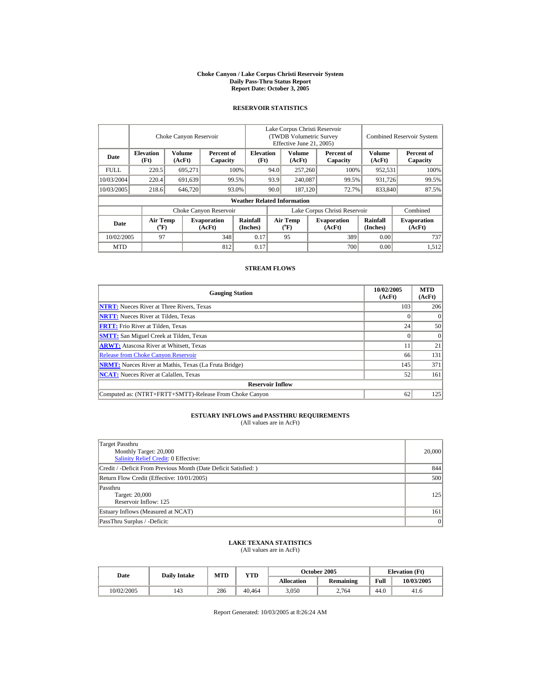#### **Choke Canyon / Lake Corpus Christi Reservoir System Daily Pass-Thru Status Report Report Date: October 3, 2005**

## **RESERVOIR STATISTICS**

i.

|             |                                | Choke Canyon Reservoir |                              |                                    | Lake Corpus Christi Reservoir<br>(TWDB Volumetric Survey)<br>Effective June 21, 2005) |                                |                  |                              | Combined Reservoir System |                              |
|-------------|--------------------------------|------------------------|------------------------------|------------------------------------|---------------------------------------------------------------------------------------|--------------------------------|------------------|------------------------------|---------------------------|------------------------------|
| Date        | <b>Elevation</b><br>(Ft)       | Volume<br>(AcFt)       | Percent of<br>Capacity       | <b>Elevation</b><br>(Ft)           | <b>Volume</b><br>(AcFt)                                                               |                                |                  | Percent of<br>Capacity       | Volume<br>(AcFt)          | Percent of<br>Capacity       |
| <b>FULL</b> | 220.5                          | 695.271                |                              | 100%                               | 94.0                                                                                  | 257,260                        |                  | 100%                         | 952,531                   | 100%                         |
| 10/03/2004  | 220.4                          | 691.639                |                              | 99.5%                              | 93.9                                                                                  | 240,087                        |                  | 99.5%                        | 931.726                   | 99.5%                        |
| 10/03/2005  | 218.6                          | 646,720                |                              | 93.0%                              | 90.0                                                                                  |                                | 187,120<br>72.7% |                              | 833,840                   | 87.5%                        |
|             |                                |                        |                              | <b>Weather Related Information</b> |                                                                                       |                                |                  |                              |                           |                              |
|             |                                |                        | Choke Canyon Reservoir       |                                    | Lake Corpus Christi Reservoir                                                         |                                |                  |                              |                           | Combined                     |
| Date        | Air Temp<br>$({}^o\mathrm{F})$ |                        | <b>Evaporation</b><br>(AcFt) | Rainfall<br>(Inches)               |                                                                                       | Air Temp<br>$({}^o\mathrm{F})$ |                  | <b>Evaporation</b><br>(AcFt) | Rainfall<br>(Inches)      | <b>Evaporation</b><br>(AcFt) |
| 10/02/2005  | 97                             |                        | 348                          | 0.17                               |                                                                                       | 95                             |                  | 389                          | 0.00                      | 737                          |
| <b>MTD</b>  |                                |                        | 812                          | 0.17                               |                                                                                       |                                |                  | 700                          | 0.00                      | 1,512                        |

## **STREAM FLOWS**

| <b>Gauging Station</b>                                       | 10/02/2005<br>(AcFt) | <b>MTD</b><br>(AcFt) |
|--------------------------------------------------------------|----------------------|----------------------|
| <b>NTRT:</b> Nueces River at Three Rivers, Texas             | 103                  | 206                  |
| <b>NRTT:</b> Nueces River at Tilden, Texas                   |                      |                      |
| <b>FRTT:</b> Frio River at Tilden, Texas                     | 24                   | 50                   |
| <b>SMTT:</b> San Miguel Creek at Tilden, Texas               |                      | $\Omega$             |
| <b>ARWT:</b> Atascosa River at Whitsett, Texas               | 11                   | 21                   |
| <b>Release from Choke Canyon Reservoir</b>                   | 66                   | 131                  |
| <b>NRMT:</b> Nueces River at Mathis, Texas (La Fruta Bridge) | 145                  | 371                  |
| <b>NCAT:</b> Nueces River at Calallen, Texas                 | 52                   | 161                  |
| <b>Reservoir Inflow</b>                                      |                      |                      |
| Computed as: (NTRT+FRTT+SMTT)-Release From Choke Canyon      | 62                   | 125                  |

## **ESTUARY INFLOWS and PASSTHRU REQUIREMENTS**<br>(All values are in AcFt)

| Target Passthru<br>Monthly Target: 20,000<br>Salinity Relief Credit: 0 Effective: | 20,000 |
|-----------------------------------------------------------------------------------|--------|
| Credit / -Deficit From Previous Month (Date Deficit Satisfied:)                   | 844    |
| Return Flow Credit (Effective: 10/01/2005)                                        | 500    |
| Passthru<br>Target: 20,000<br>Reservoir Inflow: 125                               | 125    |
| Estuary Inflows (Measured at NCAT)                                                | 161    |
| PassThru Surplus / -Deficit:                                                      | 0      |

## **LAKE TEXANA STATISTICS** (All values are in AcFt)

| Date       | <b>Daily Intake</b> | <b>MTD</b> | <b>VTD</b> |            | October 2005     | <b>Elevation</b> (Ft) |            |
|------------|---------------------|------------|------------|------------|------------------|-----------------------|------------|
|            |                     |            |            | Allocation | <b>Remaining</b> | Full                  | 10/03/2005 |
| 10/02/2005 | 143                 | 286        | 40.464     | 3,050      | 2.764            | 44.0                  | 41.6       |

Report Generated: 10/03/2005 at 8:26:24 AM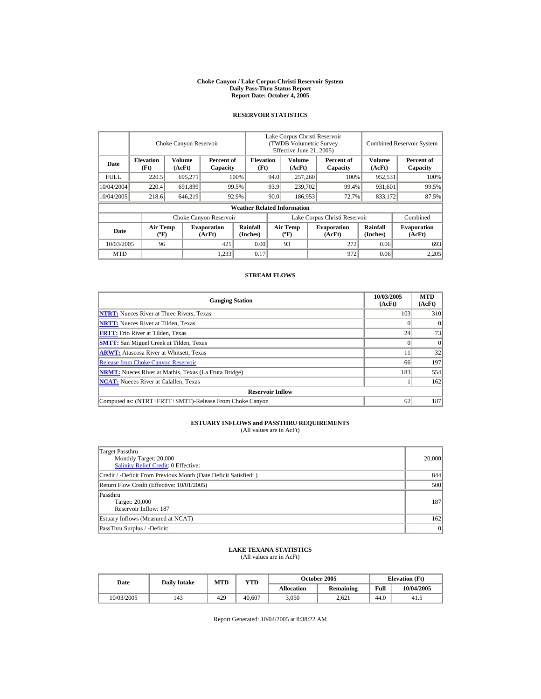#### **Choke Canyon / Lake Corpus Christi Reservoir System Daily Pass-Thru Status Report Report Date: October 4, 2005**

## **RESERVOIR STATISTICS**

|             |                                             | Choke Canyon Reservoir  |                              |                                    | Lake Corpus Christi Reservoir<br>(TWDB Volumetric Survey<br>Effective June 21, 2005) |                                          |  |                              |                             | <b>Combined Reservoir System</b> |
|-------------|---------------------------------------------|-------------------------|------------------------------|------------------------------------|--------------------------------------------------------------------------------------|------------------------------------------|--|------------------------------|-----------------------------|----------------------------------|
| Date        | <b>Elevation</b><br>(Ft)                    | <b>Volume</b><br>(AcFt) | Percent of<br>Capacity       | <b>Elevation</b><br>(Ft)           |                                                                                      | Volume<br>(AcFt)                         |  | Percent of<br>Capacity       | <b>Volume</b><br>(AcFt)     | Percent of<br>Capacity           |
| <b>FULL</b> | 220.5                                       | 695,271                 |                              | 100%                               | 94.0                                                                                 | 257,260                                  |  | 100%                         | 952,531                     | 100%                             |
| 10/04/2004  | 220.4                                       | 691,899                 |                              | 99.5%                              | 93.9                                                                                 | 239,702                                  |  | 99.4%                        | 931,601                     | 99.5%                            |
| 10/04/2005  | 218.6                                       | 646,219                 |                              | 92.9%                              | 90.0                                                                                 | 186,953                                  |  | 72.7%                        | 833,172                     | 87.5%                            |
|             |                                             |                         |                              | <b>Weather Related Information</b> |                                                                                      |                                          |  |                              |                             |                                  |
|             |                                             |                         | Choke Canyon Reservoir       |                                    | Lake Corpus Christi Reservoir                                                        |                                          |  |                              |                             | Combined                         |
| Date        | <b>Air Temp</b><br>$({}^{\circ}\mathrm{F})$ |                         | <b>Evaporation</b><br>(AcFt) | <b>Rainfall</b><br>(Inches)        |                                                                                      | <b>Air Temp</b><br>$({}^{\circ}{\rm F})$ |  | <b>Evaporation</b><br>(AcFt) | <b>Rainfall</b><br>(Inches) | <b>Evaporation</b><br>(AcFt)     |
| 10/03/2005  | 96                                          |                         | 421                          | 0.00                               |                                                                                      | 93                                       |  | 272                          | 0.06                        | 693                              |
| <b>MTD</b>  |                                             |                         | 1,233                        | 0.17                               |                                                                                      |                                          |  | 972                          | 0.06                        | 2,205                            |

## **STREAM FLOWS**

| <b>Gauging Station</b>                                       | 10/03/2005<br>(AcFt) | <b>MTD</b><br>(AcFt) |
|--------------------------------------------------------------|----------------------|----------------------|
| <b>NTRT:</b> Nueces River at Three Rivers, Texas             | 103                  | 310                  |
| <b>NRTT:</b> Nueces River at Tilden, Texas                   |                      | $\Omega$             |
| <b>FRTT:</b> Frio River at Tilden, Texas                     | 24                   | 73                   |
| <b>SMTT:</b> San Miguel Creek at Tilden, Texas               |                      | $\Omega$             |
| <b>ARWT:</b> Atascosa River at Whitsett, Texas               |                      | 32                   |
| <b>Release from Choke Canyon Reservoir</b>                   | 66                   | 197                  |
| <b>NRMT:</b> Nueces River at Mathis, Texas (La Fruta Bridge) | 183                  | 554                  |
| <b>NCAT:</b> Nueces River at Calallen, Texas                 |                      | 162                  |
| <b>Reservoir Inflow</b>                                      |                      |                      |
| Computed as: (NTRT+FRTT+SMTT)-Release From Choke Canyon      | 62                   | 187                  |

# **ESTUARY INFLOWS and PASSTHRU REQUIREMENTS**<br>(All values are in AcFt)

| Target Passthru<br>Monthly Target: 20,000<br>Salinity Relief Credit: 0 Effective: | 20,000 |
|-----------------------------------------------------------------------------------|--------|
| Credit / -Deficit From Previous Month (Date Deficit Satisfied:)                   | 844    |
| Return Flow Credit (Effective: 10/01/2005)                                        | 500    |
| Passthru<br>Target: 20,000<br>Reservoir Inflow: 187                               | 187    |
| Estuary Inflows (Measured at NCAT)                                                | 162    |
| PassThru Surplus / -Deficit:                                                      | 0      |

## **LAKE TEXANA STATISTICS**

(All values are in AcFt)

| Date       | <b>Daily Intake</b> | MTD | $\mathbf{v_{TD}}$ |                   | <b>October 2005</b> | <b>Elevation</b> (Ft) |            |
|------------|---------------------|-----|-------------------|-------------------|---------------------|-----------------------|------------|
|            |                     |     |                   | <b>Allocation</b> | <b>Remaining</b>    | Full                  | 10/04/2005 |
| 10/03/2005 | 143                 | 429 | 40,607            | 3,050             | 2.621               | 44.0                  | 41.5       |

Report Generated: 10/04/2005 at 8:38:22 AM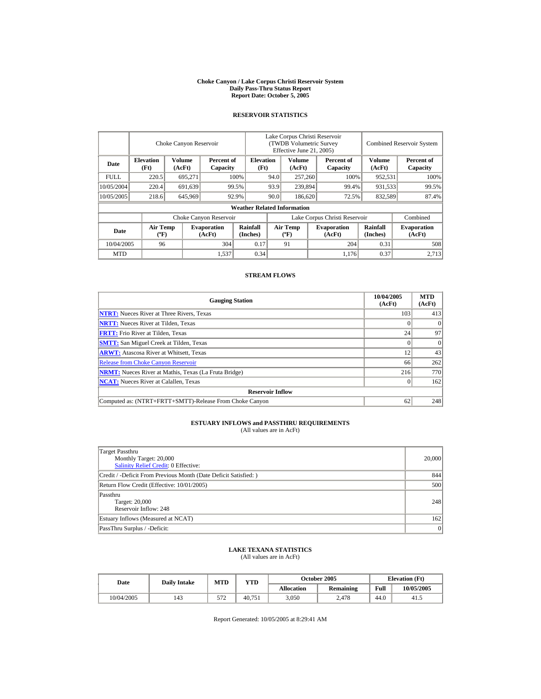#### **Choke Canyon / Lake Corpus Christi Reservoir System Daily Pass-Thru Status Report Report Date: October 5, 2005**

## **RESERVOIR STATISTICS**

|             |                                             | Choke Canyon Reservoir |                              |                                    | Lake Corpus Christi Reservoir<br>(TWDB Volumetric Survey<br>Effective June 21, 2005) |                                          |  |                              | <b>Combined Reservoir System</b> |                              |
|-------------|---------------------------------------------|------------------------|------------------------------|------------------------------------|--------------------------------------------------------------------------------------|------------------------------------------|--|------------------------------|----------------------------------|------------------------------|
| Date        | <b>Elevation</b><br>(Ft)                    | Volume<br>(AcFt)       | Percent of<br>Capacity       | <b>Elevation</b><br>(Ft)           |                                                                                      | Volume<br>(AcFt)                         |  | Percent of<br>Capacity       | <b>Volume</b><br>(AcFt)          | Percent of<br>Capacity       |
| <b>FULL</b> | 220.5                                       | 695,271                |                              | 100%                               | 94.0                                                                                 | 257,260                                  |  | 100%                         | 952,531                          | 100%                         |
| 10/05/2004  | 220.4                                       | 691,639                |                              | 99.5%                              | 93.9                                                                                 | 239,894                                  |  | 99.4%                        | 931,533                          | 99.5%                        |
| 10/05/2005  | 218.6                                       | 645,969                |                              | 92.9%                              | 90.0                                                                                 | 186,620                                  |  | 72.5%                        | 832,589                          | 87.4%                        |
|             |                                             |                        |                              | <b>Weather Related Information</b> |                                                                                      |                                          |  |                              |                                  |                              |
|             |                                             |                        | Choke Canyon Reservoir       |                                    | Lake Corpus Christi Reservoir                                                        |                                          |  |                              |                                  | Combined                     |
| Date        | <b>Air Temp</b><br>$({}^{\circ}\mathrm{F})$ |                        | <b>Evaporation</b><br>(AcFt) | <b>Rainfall</b><br>(Inches)        |                                                                                      | <b>Air Temp</b><br>$({}^{\circ}{\rm F})$ |  | <b>Evaporation</b><br>(AcFt) | <b>Rainfall</b><br>(Inches)      | <b>Evaporation</b><br>(AcFt) |
| 10/04/2005  | 96                                          |                        | 304                          | 0.17                               |                                                                                      | 91                                       |  | 204                          | 0.31                             | 508                          |
| <b>MTD</b>  |                                             |                        | 1,537                        | 0.34                               |                                                                                      |                                          |  | 1.176                        | 0.37                             | 2.713                        |

## **STREAM FLOWS**

| <b>Gauging Station</b>                                       | 10/04/2005<br>(AcFt) | <b>MTD</b><br>(AcFt) |
|--------------------------------------------------------------|----------------------|----------------------|
| <b>NTRT:</b> Nueces River at Three Rivers, Texas             | 103                  | 413                  |
| <b>NRTT:</b> Nueces River at Tilden, Texas                   |                      |                      |
| <b>FRTT:</b> Frio River at Tilden, Texas                     | 24                   | 97                   |
| <b>SMTT:</b> San Miguel Creek at Tilden, Texas               |                      | $\Omega$             |
| <b>ARWT:</b> Atascosa River at Whitsett, Texas               | 12                   | 43                   |
| <b>Release from Choke Canyon Reservoir</b>                   | 66                   | 262                  |
| <b>NRMT:</b> Nueces River at Mathis, Texas (La Fruta Bridge) | 216                  | 770                  |
| <b>NCAT:</b> Nueces River at Calallen, Texas                 |                      | 162                  |
| <b>Reservoir Inflow</b>                                      |                      |                      |
| Computed as: (NTRT+FRTT+SMTT)-Release From Choke Canyon      | 62                   | 248                  |

# **ESTUARY INFLOWS and PASSTHRU REQUIREMENTS**<br>(All values are in AcFt)

| Target Passthru<br>Monthly Target: 20,000<br>Salinity Relief Credit: 0 Effective: | 20,000 |
|-----------------------------------------------------------------------------------|--------|
| Credit / -Deficit From Previous Month (Date Deficit Satisfied:)                   | 844    |
| Return Flow Credit (Effective: 10/01/2005)                                        | 500    |
| Passthru<br>Target: 20,000<br>Reservoir Inflow: 248                               | 248    |
| Estuary Inflows (Measured at NCAT)                                                | 162    |
| PassThru Surplus / -Deficit:                                                      | 0      |

## **LAKE TEXANA STATISTICS**

(All values are in AcFt)

| Date       | <b>Daily Intake</b> | MTD        | VTD    |                   | <b>October 2005</b> | <b>Elevation</b> (Ft) |            |
|------------|---------------------|------------|--------|-------------------|---------------------|-----------------------|------------|
|            |                     |            |        | <b>Allocation</b> | <b>Remaining</b>    | Full                  | 10/05/2005 |
| 10/04/2005 | 143                 | 570<br>ے ر | 40.751 | 3,050             | 2.478               | 44.0                  | 41.5       |

Report Generated: 10/05/2005 at 8:29:41 AM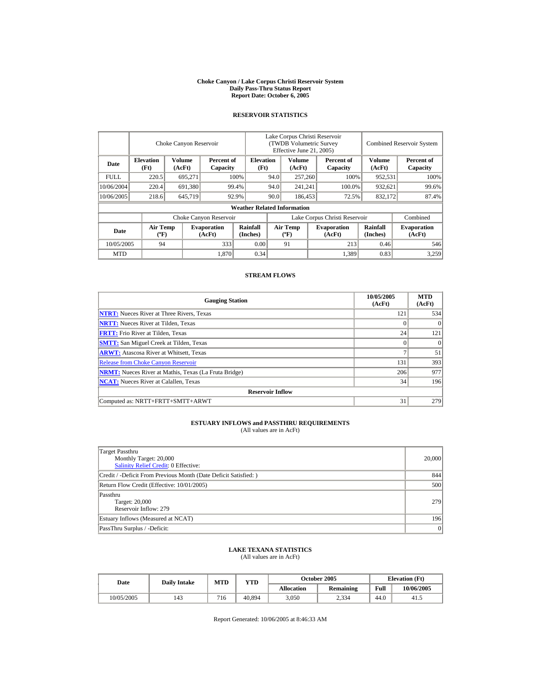#### **Choke Canyon / Lake Corpus Christi Reservoir System Daily Pass-Thru Status Report Report Date: October 6, 2005**

## **RESERVOIR STATISTICS**

|             | Choke Canyon Reservoir                      |                  |                              |                                    | Lake Corpus Christi Reservoir<br>(TWDB Volumetric Survey<br>Effective June 21, 2005) |                                             |  |                              | <b>Combined Reservoir System</b> |                              |  |
|-------------|---------------------------------------------|------------------|------------------------------|------------------------------------|--------------------------------------------------------------------------------------|---------------------------------------------|--|------------------------------|----------------------------------|------------------------------|--|
| Date        | <b>Elevation</b><br>(Ft)                    | Volume<br>(AcFt) | Percent of<br>Capacity       | <b>Elevation</b><br>(Ft)           |                                                                                      | Volume<br>(AcFt)                            |  | Percent of<br>Capacity       | Volume<br>(AcFt)                 | Percent of<br>Capacity       |  |
| <b>FULL</b> | 220.5                                       | 695,271          |                              | 100%                               | 94.0                                                                                 | 257,260                                     |  | 100%                         | 952,531                          | 100%                         |  |
| 10/06/2004  | 220.4                                       | 691,380          |                              | 99.4%                              | 94.0                                                                                 | 241,241                                     |  | 100.0%                       | 932,621                          | 99.6%                        |  |
| 10/06/2005  | 218.6                                       | 645,719          |                              | 92.9%                              | 90.0                                                                                 | 186,453                                     |  | 72.5%                        | 832,172                          | 87.4%                        |  |
|             |                                             |                  |                              | <b>Weather Related Information</b> |                                                                                      |                                             |  |                              |                                  |                              |  |
|             |                                             |                  | Choke Canyon Reservoir       |                                    | Lake Corpus Christi Reservoir                                                        |                                             |  |                              |                                  | Combined                     |  |
| Date        | <b>Air Temp</b><br>$({}^{\circ}\mathrm{F})$ |                  | <b>Evaporation</b><br>(AcFt) | Rainfall<br>(Inches)               |                                                                                      | <b>Air Temp</b><br>$({}^{\circ}\mathbf{F})$ |  | <b>Evaporation</b><br>(AcFt) | <b>Rainfall</b><br>(Inches)      | <b>Evaporation</b><br>(AcFt) |  |
| 10/05/2005  | 94                                          |                  | 333                          | 0.00                               |                                                                                      | 91                                          |  | 213                          | 0.46                             | 546                          |  |
| <b>MTD</b>  |                                             |                  | 1,870                        | 0.34                               |                                                                                      |                                             |  | 1,389                        | 0.83                             | 3,259                        |  |

## **STREAM FLOWS**

| <b>Gauging Station</b>                                       | 10/05/2005<br>(AcFt) | <b>MTD</b><br>(AcFt) |
|--------------------------------------------------------------|----------------------|----------------------|
| <b>NTRT:</b> Nueces River at Three Rivers, Texas             | 121                  | 534                  |
| <b>NRTT:</b> Nueces River at Tilden, Texas                   | $\theta$             |                      |
| <b>FRTT:</b> Frio River at Tilden, Texas                     | 24                   | 121                  |
| <b>SMTT:</b> San Miguel Creek at Tilden, Texas               | $\Omega$             | $\Omega$             |
| <b>ARWT:</b> Atascosa River at Whitsett, Texas               |                      | 51                   |
| <b>Release from Choke Canyon Reservoir</b>                   | 131                  | 393                  |
| <b>NRMT:</b> Nueces River at Mathis, Texas (La Fruta Bridge) | 206                  | 977                  |
| <b>NCAT:</b> Nueces River at Calallen, Texas                 | 34                   | 196                  |
| <b>Reservoir Inflow</b>                                      |                      |                      |
| Computed as: NRTT+FRTT+SMTT+ARWT                             | 31                   | 279                  |

## **ESTUARY INFLOWS and PASSTHRU REQUIREMENTS**<br>(All values are in AcFt)

| Target Passthru<br>Monthly Target: 20,000<br><b>Salinity Relief Credit: 0 Effective:</b> | 20,000 |
|------------------------------------------------------------------------------------------|--------|
| Credit / -Deficit From Previous Month (Date Deficit Satisfied:)                          | 844    |
| Return Flow Credit (Effective: 10/01/2005)                                               | 500    |
| Passthru<br>Target: 20,000<br>Reservoir Inflow: 279                                      | 279    |
| Estuary Inflows (Measured at NCAT)                                                       | 196    |
| PassThru Surplus / -Deficit:                                                             | 0      |

## **LAKE TEXANA STATISTICS**

(All values are in AcFt)

| Date       | <b>Daily Intake</b> | <b>MTD</b> | VTD    |            | <b>October 2005</b> | <b>Elevation</b> (Ft) |            |
|------------|---------------------|------------|--------|------------|---------------------|-----------------------|------------|
|            |                     |            |        | Allocation | <b>Remaining</b>    | Full                  | 10/06/2005 |
| 10/05/2005 | 143                 | 716        | 40.894 | 3,050      | 2,334               | 44.0                  | 41.5       |

Report Generated: 10/06/2005 at 8:46:33 AM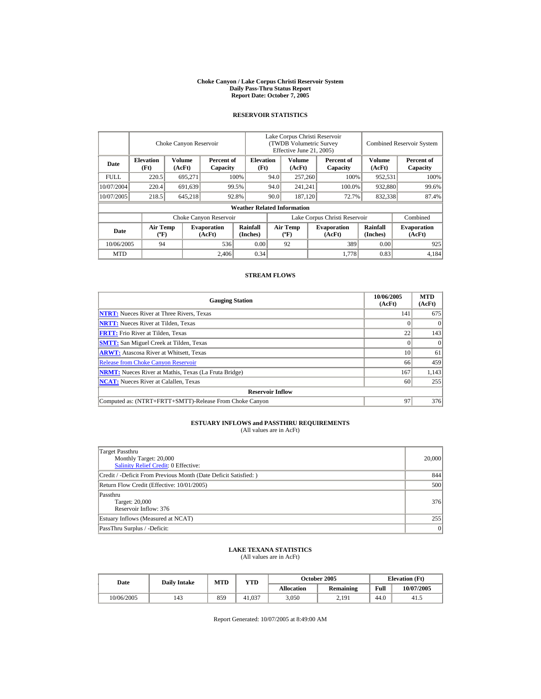#### **Choke Canyon / Lake Corpus Christi Reservoir System Daily Pass-Thru Status Report Report Date: October 7, 2005**

## **RESERVOIR STATISTICS**

|             | Choke Canyon Reservoir                      |                         |                              |                                    | Lake Corpus Christi Reservoir<br><b>(TWDB Volumetric Survey)</b><br>Effective June 21, 2005) |                                             |         |                              |                             | <b>Combined Reservoir System</b> |
|-------------|---------------------------------------------|-------------------------|------------------------------|------------------------------------|----------------------------------------------------------------------------------------------|---------------------------------------------|---------|------------------------------|-----------------------------|----------------------------------|
| Date        | <b>Elevation</b><br>(Ft)                    | <b>Volume</b><br>(AcFt) | Percent of<br>Capacity       | <b>Elevation</b><br>(Ft)           |                                                                                              | <b>Volume</b><br>(AcFt)                     |         | Percent of<br>Capacity       | Volume<br>(AcFt)            | Percent of<br>Capacity           |
| <b>FULL</b> | 220.5                                       | 695,271                 |                              | 100%                               | 94.0                                                                                         |                                             | 257,260 | 100%                         | 952,531                     | 100%                             |
| 10/07/2004  | 220.4                                       | 691,639                 |                              | 99.5%                              | 94.0                                                                                         | 241,241                                     |         | 100.0%                       | 932,880                     | 99.6%                            |
| 10/07/2005  | 218.5                                       | 645,218                 |                              | 92.8%                              | 90.0                                                                                         | 187,120                                     |         | 72.7%                        | 832,338                     | 87.4%                            |
|             |                                             |                         |                              | <b>Weather Related Information</b> |                                                                                              |                                             |         |                              |                             |                                  |
|             |                                             |                         | Choke Canyon Reservoir       |                                    | Lake Corpus Christi Reservoir                                                                |                                             |         |                              |                             | Combined                         |
| Date        | <b>Air Temp</b><br>$({}^{\circ}\mathrm{F})$ |                         | <b>Evaporation</b><br>(AcFt) | Rainfall<br>(Inches)               |                                                                                              | <b>Air Temp</b><br>$({}^{\circ}\mathbf{F})$ |         | <b>Evaporation</b><br>(AcFt) | <b>Rainfall</b><br>(Inches) | <b>Evaporation</b><br>(AcFt)     |
| 10/06/2005  | 94                                          |                         | 536                          | 0.00                               |                                                                                              | 92                                          |         | 389                          | 0.00                        | 925                              |
| <b>MTD</b>  |                                             |                         | 2.406                        | 0.34                               |                                                                                              |                                             |         | 1,778                        | 0.83                        | 4,184                            |

## **STREAM FLOWS**

| <b>Gauging Station</b>                                       | 10/06/2005<br>(AcFt) | <b>MTD</b><br>(AcFt) |
|--------------------------------------------------------------|----------------------|----------------------|
| <b>NTRT:</b> Nueces River at Three Rivers, Texas             | 141                  | 675                  |
| <b>NRTT:</b> Nueces River at Tilden, Texas                   |                      |                      |
| <b>FRTT:</b> Frio River at Tilden, Texas                     | 22                   | 143                  |
| <b>SMTT:</b> San Miguel Creek at Tilden, Texas               | 0                    | $^{(1)}$             |
| <b>ARWT:</b> Atascosa River at Whitsett, Texas               | 10                   | 61                   |
| <b>Release from Choke Canyon Reservoir</b>                   | 66                   | 459                  |
| <b>NRMT:</b> Nueces River at Mathis, Texas (La Fruta Bridge) | 167                  | 1,143                |
| <b>NCAT:</b> Nueces River at Calallen, Texas                 | 60                   | 255                  |
| <b>Reservoir Inflow</b>                                      |                      |                      |
| Computed as: (NTRT+FRTT+SMTT)-Release From Choke Canyon      | 97                   | 376                  |

# **ESTUARY INFLOWS and PASSTHRU REQUIREMENTS**<br>(All values are in AcFt)

| Target Passthru<br>Monthly Target: 20,000<br>Salinity Relief Credit: 0 Effective: | 20,000 |
|-----------------------------------------------------------------------------------|--------|
| Credit / -Deficit From Previous Month (Date Deficit Satisfied:)                   | 844    |
| Return Flow Credit (Effective: 10/01/2005)                                        | 500    |
| Passthru<br>Target: 20,000<br>Reservoir Inflow: 376                               | 376    |
| Estuary Inflows (Measured at NCAT)                                                | 255    |
| PassThru Surplus / -Deficit:                                                      | 0      |

## **LAKE TEXANA STATISTICS**

(All values are in AcFt)

| Date       | <b>Daily Intake</b> | <b>MTD</b> | VTD    |                   | <b>October 2005</b> | <b>Elevation</b> (Ft) |            |
|------------|---------------------|------------|--------|-------------------|---------------------|-----------------------|------------|
|            |                     |            |        | <b>Allocation</b> | <b>Remaining</b>    | Full                  | 10/07/2005 |
| 10/06/2005 | 143                 | 859        | 41.037 | 3.050             | 2.191               | 44.0                  | 41.5       |

Report Generated: 10/07/2005 at 8:49:00 AM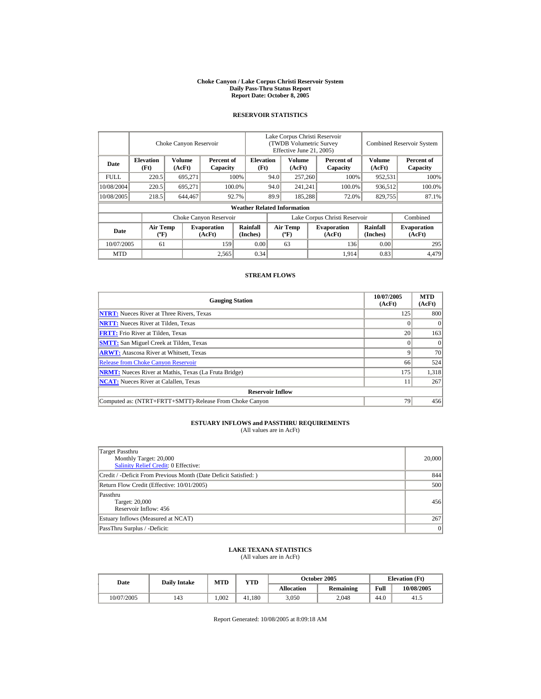#### **Choke Canyon / Lake Corpus Christi Reservoir System Daily Pass-Thru Status Report Report Date: October 8, 2005**

## **RESERVOIR STATISTICS**

|             | Choke Canyon Reservoir                      |                  |                              |                                    | Lake Corpus Christi Reservoir<br>(TWDB Volumetric Survey<br>Effective June 21, 2005) |                                  |  |                               |                             | <b>Combined Reservoir System</b> |
|-------------|---------------------------------------------|------------------|------------------------------|------------------------------------|--------------------------------------------------------------------------------------|----------------------------------|--|-------------------------------|-----------------------------|----------------------------------|
| Date        | <b>Elevation</b><br>(Ft)                    | Volume<br>(AcFt) | Percent of<br>Capacity       |                                    | <b>Elevation</b><br>(Ft)                                                             | Volume<br>(AcFt)                 |  | Percent of<br>Capacity        | Volume<br>(AcFt)            | Percent of<br>Capacity           |
| <b>FULL</b> | 220.5                                       | 695,271          |                              | 100%                               | 94.0                                                                                 | 257,260                          |  | 100%                          | 952,531                     | 100%                             |
| 10/08/2004  | 220.5                                       | 695.271          |                              | 94.0<br>100.0%                     |                                                                                      | 241,241                          |  | 100.0%                        | 936,512                     | 100.0%                           |
| 10/08/2005  | 218.5                                       | 644,467          |                              | 92.7%                              | 89.9                                                                                 | 185,288                          |  | 72.0%                         | 829,755                     | 87.1%                            |
|             |                                             |                  |                              | <b>Weather Related Information</b> |                                                                                      |                                  |  |                               |                             |                                  |
|             |                                             |                  | Choke Canyon Reservoir       |                                    |                                                                                      |                                  |  | Lake Corpus Christi Reservoir |                             | Combined                         |
| Date        | <b>Air Temp</b><br>$({}^{\circ}\mathrm{F})$ |                  | <b>Evaporation</b><br>(AcFt) | Rainfall<br>(Inches)               |                                                                                      | <b>Air Temp</b><br>$(^{\circ}F)$ |  | <b>Evaporation</b><br>(AcFt)  | <b>Rainfall</b><br>(Inches) | <b>Evaporation</b><br>(AcFt)     |
| 10/07/2005  | 61                                          |                  | 159                          | 0.00                               |                                                                                      | 63                               |  | 136                           | 0.00                        | 295                              |
| <b>MTD</b>  |                                             |                  | 2,565                        | 0.34                               |                                                                                      |                                  |  | 1,914                         | 0.83                        | 4,479                            |

## **STREAM FLOWS**

| <b>Gauging Station</b>                                       | 10/07/2005<br>(AcFt) | <b>MTD</b><br>(AcFt) |
|--------------------------------------------------------------|----------------------|----------------------|
| <b>NTRT:</b> Nueces River at Three Rivers, Texas             | 125                  | 800                  |
| <b>NRTT:</b> Nueces River at Tilden, Texas                   |                      |                      |
| <b>FRTT:</b> Frio River at Tilden, Texas                     | 20                   | 163                  |
| <b>SMTT:</b> San Miguel Creek at Tilden, Texas               |                      |                      |
| <b>ARWT:</b> Atascosa River at Whitsett, Texas               |                      | 70                   |
| <b>Release from Choke Canyon Reservoir</b>                   | 66                   | 524                  |
| <b>NRMT:</b> Nueces River at Mathis, Texas (La Fruta Bridge) | 175                  | 1,318                |
| <b>NCAT:</b> Nueces River at Calallen, Texas                 | 11                   | 267                  |
| <b>Reservoir Inflow</b>                                      |                      |                      |
| Computed as: (NTRT+FRTT+SMTT)-Release From Choke Canyon      | 79                   | 456                  |

# **ESTUARY INFLOWS and PASSTHRU REQUIREMENTS**<br>(All values are in AcFt)

| Target Passthru<br>Monthly Target: 20,000<br>Salinity Relief Credit: 0 Effective: | 20,000 |
|-----------------------------------------------------------------------------------|--------|
| Credit / -Deficit From Previous Month (Date Deficit Satisfied:)                   | 844    |
| Return Flow Credit (Effective: 10/01/2005)                                        | 500    |
| Passthru<br>Target: 20,000<br>Reservoir Inflow: 456                               | 456    |
| Estuary Inflows (Measured at NCAT)                                                | 267    |
| PassThru Surplus / -Deficit:                                                      | 0      |

## **LAKE TEXANA STATISTICS**

(All values are in AcFt)

| Date       | <b>Daily Intake</b> | <b>MTD</b> | VTD    |            | <b>October 2005</b> | <b>Elevation</b> (Ft) |            |
|------------|---------------------|------------|--------|------------|---------------------|-----------------------|------------|
|            |                     |            |        | Allocation | <b>Remaining</b>    | Full                  | 10/08/2005 |
| 10/07/2005 | 143                 | .002       | 41.180 | 3,050      | 2.048               | 44.0                  | 41.5       |

Report Generated: 10/08/2005 at 8:09:18 AM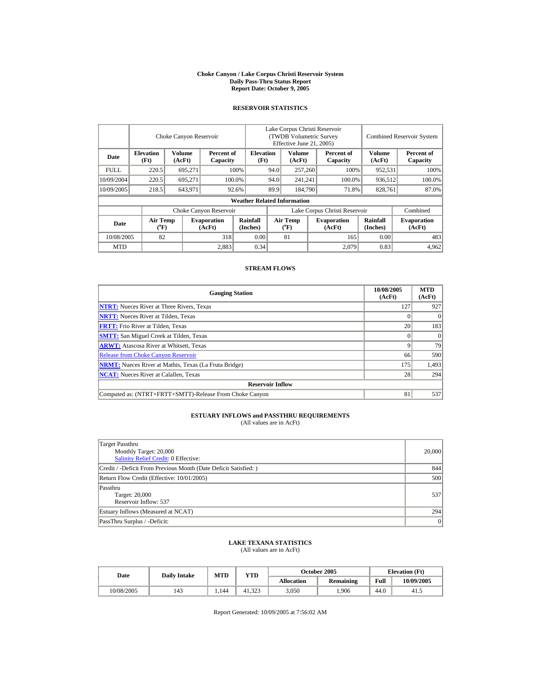#### **Choke Canyon / Lake Corpus Christi Reservoir System Daily Pass-Thru Status Report Report Date: October 9, 2005**

## **RESERVOIR STATISTICS**

|             | Choke Canyon Reservoir               |                         |                              |                                    | Lake Corpus Christi Reservoir<br>(TWDB Volumetric Survey<br>Effective June 21, 2005) |                              |  |                              | <b>Combined Reservoir System</b> |                              |  |
|-------------|--------------------------------------|-------------------------|------------------------------|------------------------------------|--------------------------------------------------------------------------------------|------------------------------|--|------------------------------|----------------------------------|------------------------------|--|
| Date        | <b>Elevation</b><br>(Ft)             | <b>Volume</b><br>(AcFt) | Percent of<br>Capacity       | <b>Elevation</b><br>(Ft)           |                                                                                      | Volume<br>(AcFt)             |  | Percent of<br>Capacity       | <b>Volume</b><br>(AcFt)          | Percent of<br>Capacity       |  |
| <b>FULL</b> | 220.5                                | 695.271                 |                              | 100%                               | 94.0                                                                                 | 257,260                      |  | 100%                         | 952,531                          | 100%                         |  |
| 10/09/2004  | 220.5                                | 695.271                 |                              | 100.0%                             | 94.0                                                                                 | 241,241                      |  | 100.0%                       | 936,512                          | 100.0%                       |  |
| 10/09/2005  | 218.5                                | 643,971                 |                              | 92.6%                              | 89.9                                                                                 | 184,790                      |  | 71.8%                        | 828,761                          | 87.0%                        |  |
|             |                                      |                         |                              | <b>Weather Related Information</b> |                                                                                      |                              |  |                              |                                  |                              |  |
|             |                                      |                         | Choke Canyon Reservoir       |                                    | Lake Corpus Christi Reservoir                                                        |                              |  |                              |                                  | Combined                     |  |
| Date        | Air Temp<br>$({}^{\circ}\mathrm{F})$ |                         | <b>Evaporation</b><br>(AcFt) | Rainfall<br>(Inches)               |                                                                                      | <b>Air Temp</b><br>$(^{o}F)$ |  | <b>Evaporation</b><br>(AcFt) | Rainfall<br>(Inches)             | <b>Evaporation</b><br>(AcFt) |  |
| 10/08/2005  | 82                                   |                         | 318                          | 0.00                               |                                                                                      | 81                           |  | 165                          | 0.00                             | 483                          |  |
| <b>MTD</b>  |                                      |                         | 2,883                        | 0.34                               |                                                                                      |                              |  | 2.079                        | 0.83                             | 4,962                        |  |

## **STREAM FLOWS**

| <b>Gauging Station</b>                                       | 10/08/2005<br>(AcFt) | <b>MTD</b><br>(AcFt) |
|--------------------------------------------------------------|----------------------|----------------------|
| <b>NTRT:</b> Nueces River at Three Rivers, Texas             | 127                  | 927                  |
| <b>NRTT:</b> Nueces River at Tilden, Texas                   |                      | $\Omega$             |
| <b>FRTT:</b> Frio River at Tilden, Texas                     | 20                   | 183                  |
| <b>SMTT:</b> San Miguel Creek at Tilden, Texas               |                      |                      |
| <b>ARWT:</b> Atascosa River at Whitsett, Texas               |                      | 79                   |
| <b>Release from Choke Canyon Reservoir</b>                   | 66                   | 590                  |
| <b>NRMT:</b> Nueces River at Mathis, Texas (La Fruta Bridge) | 175                  | 1,493                |
| <b>NCAT:</b> Nueces River at Calallen, Texas                 | 28                   | 294                  |
| <b>Reservoir Inflow</b>                                      |                      |                      |
| Computed as: (NTRT+FRTT+SMTT)-Release From Choke Canyon      | 81                   | 537                  |

## **ESTUARY INFLOWS and PASSTHRU REQUIREMENTS**<br>(All values are in AcFt)

| Target Passthru<br>Monthly Target: 20,000<br>Salinity Relief Credit: 0 Effective: | 20,000 |
|-----------------------------------------------------------------------------------|--------|
| Credit / -Deficit From Previous Month (Date Deficit Satisfied:)                   | 844    |
| Return Flow Credit (Effective: 10/01/2005)                                        | 500    |
| Passthru<br>Target: 20,000<br>Reservoir Inflow: 537                               | 537    |
| Estuary Inflows (Measured at NCAT)                                                | 294    |
| PassThru Surplus / -Deficit:                                                      | 0      |

## **LAKE TEXANA STATISTICS** (All values are in AcFt)

| Date       | <b>Daily Intake</b> | <b>MTD</b> | <b>VTD</b> |            | October 2005 | <b>Elevation</b> (Ft) |            |
|------------|---------------------|------------|------------|------------|--------------|-----------------------|------------|
|            |                     |            |            | Allocation | Remaining    | Full                  | 10/09/2005 |
| 10/08/2005 | 143                 | 1.144      | 41.323     | 3.050      | .906         | 44.0                  | -41.5      |

Report Generated: 10/09/2005 at 7:56:02 AM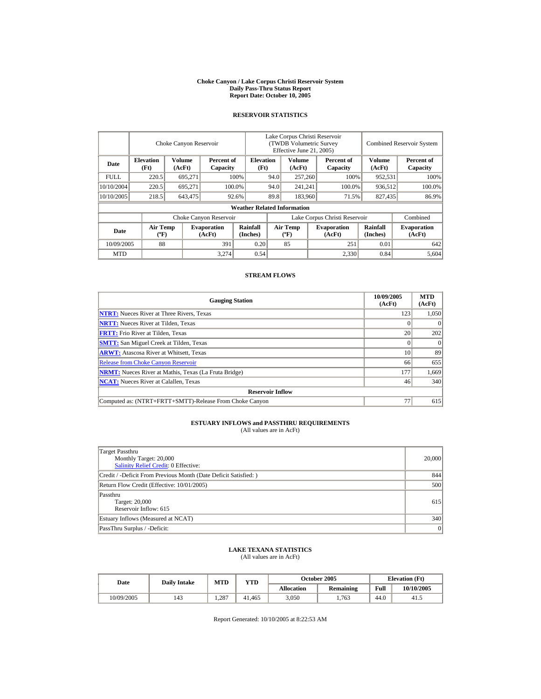#### **Choke Canyon / Lake Corpus Christi Reservoir System Daily Pass-Thru Status Report Report Date: October 10, 2005**

## **RESERVOIR STATISTICS**

|             | Choke Canyon Reservoir                      |                  |                              |                                    | Lake Corpus Christi Reservoir<br>(TWDB Volumetric Survey<br>Effective June 21, 2005) |                                  |  |                              |                      | <b>Combined Reservoir System</b> |  |  |
|-------------|---------------------------------------------|------------------|------------------------------|------------------------------------|--------------------------------------------------------------------------------------|----------------------------------|--|------------------------------|----------------------|----------------------------------|--|--|
| Date        | <b>Elevation</b><br>(Ft)                    | Volume<br>(AcFt) | Percent of<br>Capacity       |                                    | <b>Elevation</b><br>(Ft)                                                             | Volume<br>(AcFt)                 |  | Percent of<br>Capacity       | Volume<br>(AcFt)     | Percent of<br>Capacity           |  |  |
| <b>FULL</b> | 220.5                                       | 695,271          |                              | 100%                               | 94.0                                                                                 | 257,260                          |  | 100%                         | 952,531              | 100%                             |  |  |
| 10/10/2004  | 220.5                                       | 695.271          |                              | 100.0%                             | 94.0                                                                                 | 241,241                          |  | 100.0%                       | 936,512              | 100.0%                           |  |  |
| 10/10/2005  | 218.5                                       | 643,475          |                              | 92.6%                              | 89.8                                                                                 | 183,960                          |  | 71.5%                        | 827,435              | 86.9%                            |  |  |
|             |                                             |                  |                              | <b>Weather Related Information</b> |                                                                                      |                                  |  |                              |                      |                                  |  |  |
|             |                                             |                  | Choke Canyon Reservoir       |                                    | Lake Corpus Christi Reservoir                                                        |                                  |  |                              |                      | Combined                         |  |  |
| Date        | <b>Air Temp</b><br>$({}^{\circ}\mathrm{F})$ |                  | <b>Evaporation</b><br>(AcFt) | Rainfall<br>(Inches)               |                                                                                      | <b>Air Temp</b><br>$(^{\circ}F)$ |  | <b>Evaporation</b><br>(AcFt) | Rainfall<br>(Inches) | <b>Evaporation</b><br>(AcFt)     |  |  |
| 10/09/2005  | 88                                          |                  | 391                          | 0.20                               |                                                                                      | 85                               |  | 251                          | 0.01                 | 642                              |  |  |
| <b>MTD</b>  |                                             |                  | 3.274                        | 0.54                               |                                                                                      |                                  |  | 2,330                        | 0.84                 | 5,604                            |  |  |

## **STREAM FLOWS**

| <b>Gauging Station</b>                                       | 10/09/2005<br>(AcFt) | <b>MTD</b><br>(AcFt) |
|--------------------------------------------------------------|----------------------|----------------------|
| <b>NTRT:</b> Nueces River at Three Rivers, Texas             | 123                  | 1.050                |
| <b>NRTT:</b> Nueces River at Tilden, Texas                   |                      |                      |
| <b>FRTT:</b> Frio River at Tilden, Texas                     | 20                   | 202                  |
| <b>SMTT:</b> San Miguel Creek at Tilden, Texas               |                      | $\Omega$             |
| <b>ARWT:</b> Atascosa River at Whitsett, Texas               | 10                   | 89                   |
| <b>Release from Choke Canyon Reservoir</b>                   | 66                   | 655                  |
| <b>NRMT:</b> Nueces River at Mathis, Texas (La Fruta Bridge) | 177                  | 1,669                |
| <b>NCAT:</b> Nueces River at Calallen. Texas                 | 46                   | 340                  |
| <b>Reservoir Inflow</b>                                      |                      |                      |
| Computed as: (NTRT+FRTT+SMTT)-Release From Choke Canyon      | 77                   | 615                  |

# **ESTUARY INFLOWS and PASSTHRU REQUIREMENTS**<br>(All values are in AcFt)

| Target Passthru<br>Monthly Target: 20,000<br>Salinity Relief Credit: 0 Effective: | 20,000 |
|-----------------------------------------------------------------------------------|--------|
| Credit / -Deficit From Previous Month (Date Deficit Satisfied:)                   | 844    |
| Return Flow Credit (Effective: 10/01/2005)                                        | 500    |
| Passthru<br>Target: 20,000<br>Reservoir Inflow: 615                               | 615    |
| Estuary Inflows (Measured at NCAT)                                                | 340    |
| PassThru Surplus / -Deficit:                                                      | 0      |

## **LAKE TEXANA STATISTICS**

(All values are in AcFt)

| Date       | <b>Daily Intake</b> | MTD | <b>VTD</b> |            | October 2005 | <b>Elevation</b> (Ft) |            |
|------------|---------------------|-----|------------|------------|--------------|-----------------------|------------|
|            |                     |     |            | Allocation | Remaining    | Full                  | 10/10/2005 |
| 10/09/2005 | 143                 | 287 | 41.465     | 3,050      | 1.763        | 44.0                  | 41.5       |

Report Generated: 10/10/2005 at 8:22:53 AM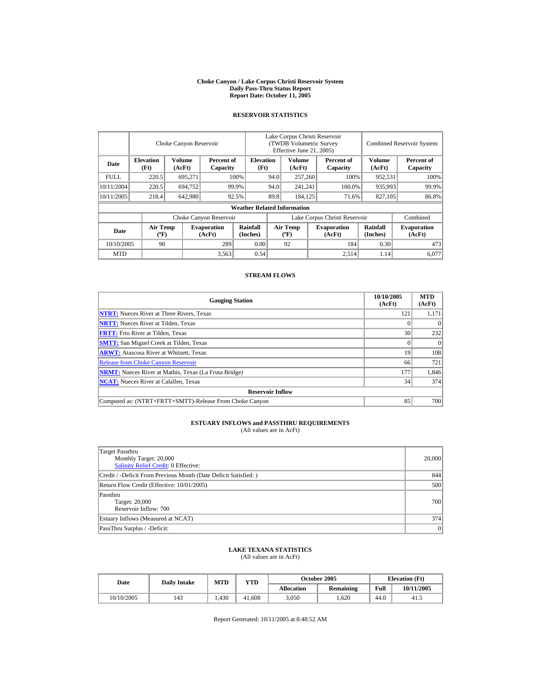#### **Choke Canyon / Lake Corpus Christi Reservoir System Daily Pass-Thru Status Report Report Date: October 11, 2005**

## **RESERVOIR STATISTICS**

|             | Choke Canyon Reservoir                      |                  |                              |                                    | Lake Corpus Christi Reservoir<br>(TWDB Volumetric Survey<br>Effective June 21, 2005) |                                  |         |                              |                             | <b>Combined Reservoir System</b> |  |  |
|-------------|---------------------------------------------|------------------|------------------------------|------------------------------------|--------------------------------------------------------------------------------------|----------------------------------|---------|------------------------------|-----------------------------|----------------------------------|--|--|
| Date        | <b>Elevation</b><br>(Ft)                    | Volume<br>(AcFt) | Percent of<br>Capacity       |                                    | <b>Elevation</b><br>(Ft)                                                             | Volume<br>(AcFt)                 |         | Percent of<br>Capacity       | Volume<br>(AcFt)            | Percent of<br>Capacity           |  |  |
| <b>FULL</b> | 220.5                                       | 695,271          |                              | 100%                               | 94.0                                                                                 | 257,260                          |         | 100%                         | 952,531                     | 100%                             |  |  |
| 10/11/2004  | 220.5                                       | 694.752          |                              | 99.9%                              | 94.0                                                                                 |                                  | 241,241 | 100.0%                       | 935,993                     | 99.9%                            |  |  |
| 10/11/2005  | 218.4                                       | 642,980          |                              | 92.5%                              | 89.8                                                                                 | 184.125                          |         | 71.6%                        | 827,105                     | 86.8%                            |  |  |
|             |                                             |                  |                              | <b>Weather Related Information</b> |                                                                                      |                                  |         |                              |                             |                                  |  |  |
|             |                                             |                  | Choke Canyon Reservoir       |                                    | Lake Corpus Christi Reservoir                                                        |                                  |         |                              |                             | Combined                         |  |  |
| Date        | <b>Air Temp</b><br>$({}^{\circ}\mathrm{F})$ |                  | <b>Evaporation</b><br>(AcFt) | Rainfall<br>(Inches)               |                                                                                      | <b>Air Temp</b><br>$(^{\circ}F)$ |         | <b>Evaporation</b><br>(AcFt) | <b>Rainfall</b><br>(Inches) | <b>Evaporation</b><br>(AcFt)     |  |  |
| 10/10/2005  | 90                                          |                  | 289                          | 0.00                               |                                                                                      | 92                               |         | 184                          | 0.30                        | 473                              |  |  |
| <b>MTD</b>  |                                             |                  | 3,563                        | 0.54                               |                                                                                      |                                  |         | 2,514                        | 1.14                        | 6.077                            |  |  |

## **STREAM FLOWS**

| <b>Gauging Station</b>                                       | 10/10/2005<br>(AcFt) | <b>MTD</b><br>(AcFt) |
|--------------------------------------------------------------|----------------------|----------------------|
| <b>NTRT:</b> Nueces River at Three Rivers, Texas             | 121                  | 1,171                |
| <b>NRTT:</b> Nueces River at Tilden, Texas                   |                      | $\Omega$             |
| <b>FRTT:</b> Frio River at Tilden, Texas                     | 30                   | 232                  |
| <b>SMTT:</b> San Miguel Creek at Tilden, Texas               |                      | $\Omega$             |
| <b>ARWT:</b> Atascosa River at Whitsett, Texas               | 19                   | 108                  |
| <b>Release from Choke Canyon Reservoir</b>                   | 66                   | 721                  |
| <b>NRMT:</b> Nueces River at Mathis, Texas (La Fruta Bridge) | 177                  | 1,846                |
| <b>NCAT:</b> Nueces River at Calallen, Texas                 | 34                   | 374                  |
| <b>Reservoir Inflow</b>                                      |                      |                      |
| Computed as: (NTRT+FRTT+SMTT)-Release From Choke Canyon      | 85                   | 700                  |

# **ESTUARY INFLOWS and PASSTHRU REQUIREMENTS**<br>(All values are in AcFt)

| Target Passthru<br>Monthly Target: 20,000<br>Salinity Relief Credit: 0 Effective: | 20,000 |
|-----------------------------------------------------------------------------------|--------|
| Credit / -Deficit From Previous Month (Date Deficit Satisfied:)                   | 844    |
| Return Flow Credit (Effective: 10/01/2005)                                        | 500    |
| Passthru<br>Target: 20,000<br>Reservoir Inflow: 700                               | 700    |
| Estuary Inflows (Measured at NCAT)                                                | 374    |
| PassThru Surplus / -Deficit:                                                      | 0      |

## **LAKE TEXANA STATISTICS**

(All values are in AcFt)

| Date       | <b>Daily Intake</b> | MTD  | VTD    |                   | October 2005     |      | <b>Elevation</b> (Ft) |
|------------|---------------------|------|--------|-------------------|------------------|------|-----------------------|
|            |                     |      |        | <b>Allocation</b> | <b>Remaining</b> | Full | 10/11/2005            |
| 10/10/2005 | 143                 | .430 | 41.608 | 3,050             | .620             | 44.0 | 41.5                  |

Report Generated: 10/11/2005 at 8:48:52 AM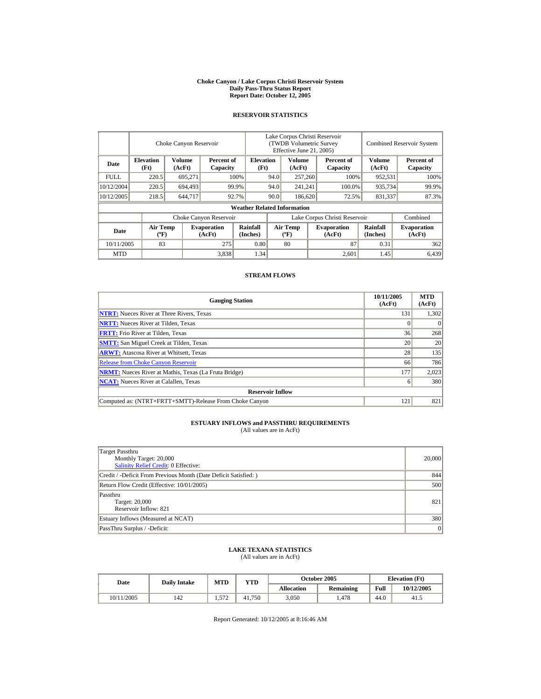#### **Choke Canyon / Lake Corpus Christi Reservoir System Daily Pass-Thru Status Report Report Date: October 12, 2005**

## **RESERVOIR STATISTICS**

|             | Choke Canyon Reservoir                      |                  |                              |                                    | Lake Corpus Christi Reservoir<br>(TWDB Volumetric Survey<br>Effective June 21, 2005) |                                  |  |                              |                      | <b>Combined Reservoir System</b> |  |  |
|-------------|---------------------------------------------|------------------|------------------------------|------------------------------------|--------------------------------------------------------------------------------------|----------------------------------|--|------------------------------|----------------------|----------------------------------|--|--|
| Date        | <b>Elevation</b><br>(Ft)                    | Volume<br>(AcFt) | Percent of<br>Capacity       |                                    | <b>Elevation</b><br>(Ft)                                                             | Volume<br>(AcFt)                 |  | Percent of<br>Capacity       | Volume<br>(AcFt)     | Percent of<br>Capacity           |  |  |
| <b>FULL</b> | 220.5                                       | 695,271          |                              | 100%                               | 94.0                                                                                 | 257,260                          |  | 100%                         | 952,531              | 100%                             |  |  |
| 10/12/2004  | 220.5                                       | 694.493          |                              | 99.9%                              | 94.0                                                                                 | 241,241                          |  | 100.0%                       | 935,734              | 99.9%                            |  |  |
| 10/12/2005  | 218.5                                       | 644,717          |                              | 92.7%                              | 90.0                                                                                 | 186,620                          |  | 72.5%                        | 831,337              | 87.3%                            |  |  |
|             |                                             |                  |                              | <b>Weather Related Information</b> |                                                                                      |                                  |  |                              |                      |                                  |  |  |
|             |                                             |                  | Choke Canyon Reservoir       |                                    | Lake Corpus Christi Reservoir                                                        |                                  |  |                              |                      | Combined                         |  |  |
| Date        | <b>Air Temp</b><br>$({}^{\circ}\mathrm{F})$ |                  | <b>Evaporation</b><br>(AcFt) | Rainfall<br>(Inches)               |                                                                                      | <b>Air Temp</b><br>$(^{\circ}F)$ |  | <b>Evaporation</b><br>(AcFt) | Rainfall<br>(Inches) | <b>Evaporation</b><br>(AcFt)     |  |  |
| 10/11/2005  | 83                                          |                  | 275                          | 0.80                               |                                                                                      | 80                               |  | 87                           | 0.31                 | 362                              |  |  |
| <b>MTD</b>  |                                             |                  | 3,838                        | 1.34                               |                                                                                      |                                  |  | 2.601                        | 1.45                 | 6,439                            |  |  |

## **STREAM FLOWS**

| <b>Gauging Station</b>                                       | 10/11/2005<br>(AcFt) | <b>MTD</b><br>(AcFt) |
|--------------------------------------------------------------|----------------------|----------------------|
| <b>NTRT:</b> Nueces River at Three Rivers, Texas             | 131                  | 1,302                |
| <b>NRTT:</b> Nueces River at Tilden, Texas                   |                      |                      |
| <b>FRTT:</b> Frio River at Tilden, Texas                     | 36                   | 268                  |
| <b>SMTT:</b> San Miguel Creek at Tilden, Texas               | 20                   | 20                   |
| <b>ARWT:</b> Atascosa River at Whitsett, Texas               | 28                   | 135                  |
| <b>Release from Choke Canyon Reservoir</b>                   | 66                   | 786                  |
| <b>NRMT:</b> Nueces River at Mathis, Texas (La Fruta Bridge) | 177                  | 2,023                |
| <b>NCAT:</b> Nueces River at Calallen, Texas                 |                      | 380                  |
| <b>Reservoir Inflow</b>                                      |                      |                      |
| Computed as: (NTRT+FRTT+SMTT)-Release From Choke Canyon      | $12^{1}$             | 821                  |

# **ESTUARY INFLOWS and PASSTHRU REQUIREMENTS**<br>(All values are in AcFt)

| Target Passthru<br>Monthly Target: 20,000<br><b>Salinity Relief Credit: 0 Effective:</b> | 20,000 |
|------------------------------------------------------------------------------------------|--------|
| Credit / -Deficit From Previous Month (Date Deficit Satisfied:)                          | 844    |
| Return Flow Credit (Effective: 10/01/2005)                                               | 500    |
| Passthru<br>Target: 20,000<br>Reservoir Inflow: 821                                      | 821    |
| Estuary Inflows (Measured at NCAT)                                                       | 380    |
| PassThru Surplus / -Deficit:                                                             | 0      |

## **LAKE TEXANA STATISTICS**

(All values are in AcFt)

| Date       | <b>Daily Intake</b> | MTD          | VTD    |                   | October 2005 | <b>Elevation</b> (Ft) |            |
|------------|---------------------|--------------|--------|-------------------|--------------|-----------------------|------------|
|            |                     |              |        | <b>Allocation</b> | Remaining    | Full                  | 10/12/2005 |
| 10/11/2005 | 142                 | 572<br>1.777 | 41.750 | 3,050             | . 478        | 44.0                  | 41.5       |

Report Generated: 10/12/2005 at 8:16:46 AM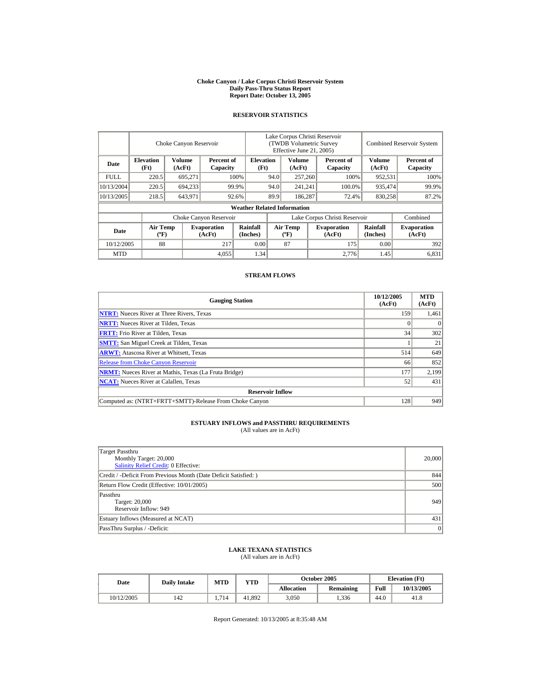#### **Choke Canyon / Lake Corpus Christi Reservoir System Daily Pass-Thru Status Report Report Date: October 13, 2005**

## **RESERVOIR STATISTICS**

|            | Choke Canyon Reservoir                      |                  |                              |                                    | Lake Corpus Christi Reservoir<br>(TWDB Volumetric Survey<br>Effective June 21, 2005) |                                  |  |                              | <b>Combined Reservoir System</b> |                              |  |
|------------|---------------------------------------------|------------------|------------------------------|------------------------------------|--------------------------------------------------------------------------------------|----------------------------------|--|------------------------------|----------------------------------|------------------------------|--|
| Date       | <b>Elevation</b><br>(Ft)                    | Volume<br>(AcFt) | Percent of<br>Capacity       | <b>Elevation</b><br>(Ft)           |                                                                                      | Volume<br>(AcFt)                 |  | Percent of<br>Capacity       | Volume<br>(AcFt)                 | Percent of<br>Capacity       |  |
| FULL.      | 220.5                                       | 695,271          |                              | 100%                               | 94.0                                                                                 | 257,260                          |  | 100%                         | 952,531                          | 100%                         |  |
| 10/13/2004 | 220.5                                       | 694,233          |                              | 99.9%                              | 94.0                                                                                 | 241,241                          |  | 100.0%                       | 935,474                          | 99.9%                        |  |
| 10/13/2005 | 218.5                                       | 643,971          |                              | 92.6%                              | 89.9                                                                                 | 186,287                          |  | 72.4%                        | 830,258                          | 87.2%                        |  |
|            |                                             |                  |                              | <b>Weather Related Information</b> |                                                                                      |                                  |  |                              |                                  |                              |  |
|            |                                             |                  | Choke Canyon Reservoir       |                                    | Lake Corpus Christi Reservoir                                                        |                                  |  |                              |                                  | Combined                     |  |
| Date       | <b>Air Temp</b><br>$({}^{\circ}\mathrm{F})$ |                  | <b>Evaporation</b><br>(AcFt) | Rainfall<br>(Inches)               |                                                                                      | <b>Air Temp</b><br>$(^{\circ}F)$ |  | <b>Evaporation</b><br>(AcFt) | Rainfall<br>(Inches)             | <b>Evaporation</b><br>(AcFt) |  |
| 10/12/2005 | 88                                          |                  | 217                          | 0.00                               |                                                                                      | 87                               |  | 175                          | 0.00                             | 392                          |  |
| <b>MTD</b> |                                             |                  | 4,055                        | 1.34                               |                                                                                      |                                  |  | 2.776                        | 1.45                             | 6,831                        |  |

## **STREAM FLOWS**

| <b>Gauging Station</b>                                       | 10/12/2005<br>(AcFt) | <b>MTD</b><br>(AcFt) |
|--------------------------------------------------------------|----------------------|----------------------|
| <b>NTRT:</b> Nueces River at Three Rivers, Texas             | 159                  | 1,461                |
| <b>NRTT:</b> Nueces River at Tilden, Texas                   |                      |                      |
| <b>FRTT:</b> Frio River at Tilden, Texas                     | 34                   | 302                  |
| <b>SMTT:</b> San Miguel Creek at Tilden, Texas               |                      | 21                   |
| <b>ARWT:</b> Atascosa River at Whitsett, Texas               | 514                  | 649                  |
| <b>Release from Choke Canyon Reservoir</b>                   | 66                   | 852                  |
| <b>NRMT:</b> Nueces River at Mathis, Texas (La Fruta Bridge) | 177                  | 2,199                |
| <b>NCAT:</b> Nueces River at Calallen, Texas                 | 52                   | 431                  |
| <b>Reservoir Inflow</b>                                      |                      |                      |
| Computed as: (NTRT+FRTT+SMTT)-Release From Choke Canyon      | 128                  | 949                  |

# **ESTUARY INFLOWS and PASSTHRU REQUIREMENTS**<br>(All values are in AcFt)

| Target Passthru<br>Monthly Target: 20,000<br><b>Salinity Relief Credit: 0 Effective:</b> | 20,000    |
|------------------------------------------------------------------------------------------|-----------|
| Credit / -Deficit From Previous Month (Date Deficit Satisfied: )                         | 844       |
| Return Flow Credit (Effective: 10/01/2005)                                               | 500       |
| Passthru<br>Target: 20,000<br>Reservoir Inflow: 949                                      | 949       |
| Estuary Inflows (Measured at NCAT)                                                       | 431       |
| PassThru Surplus / -Deficit:                                                             | $\vert$ 0 |

## **LAKE TEXANA STATISTICS**

(All values are in AcFt)

| Date       | <b>Daily Intake</b> | MTD | <b>VTD</b> |                   | October 2005 | <b>Elevation</b> (Ft) |            |
|------------|---------------------|-----|------------|-------------------|--------------|-----------------------|------------|
|            |                     |     |            | <b>Allocation</b> | Remaining    | Full                  | 10/13/2005 |
| 10/12/2005 | 142                 | 714 | 41.892     | 3,050             | 1,336        | 44.0                  | 41.8       |

Report Generated: 10/13/2005 at 8:35:48 AM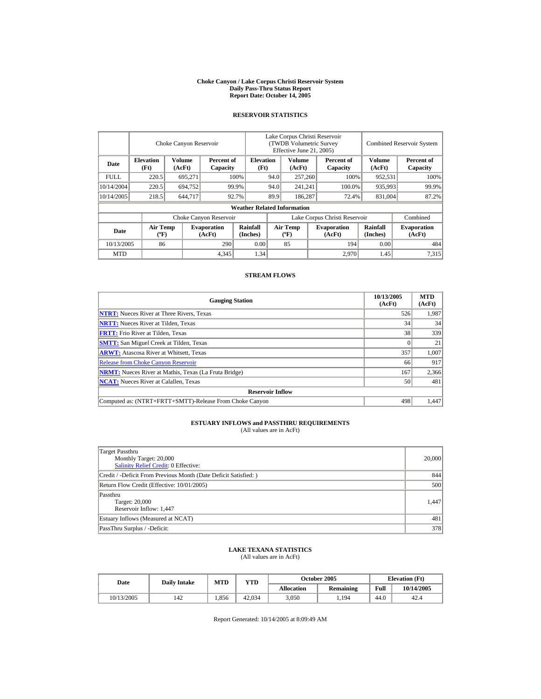#### **Choke Canyon / Lake Corpus Christi Reservoir System Daily Pass-Thru Status Report Report Date: October 14, 2005**

## **RESERVOIR STATISTICS**

|             | Choke Canyon Reservoir                      |                  |                              |                                    | Lake Corpus Christi Reservoir<br>(TWDB Volumetric Survey<br>Effective June 21, 2005) |                                  |  |                              |                             | <b>Combined Reservoir System</b> |  |  |
|-------------|---------------------------------------------|------------------|------------------------------|------------------------------------|--------------------------------------------------------------------------------------|----------------------------------|--|------------------------------|-----------------------------|----------------------------------|--|--|
| Date        | <b>Elevation</b><br>(Ft)                    | Volume<br>(AcFt) | Percent of<br>Capacity       | <b>Elevation</b><br>(Ft)           |                                                                                      | Volume<br>(AcFt)                 |  | Percent of<br>Capacity       | Volume<br>(AcFt)            | Percent of<br>Capacity           |  |  |
| <b>FULL</b> | 220.5                                       | 695,271          |                              | 100%                               | 94.0                                                                                 | 257,260                          |  | 100%                         | 952,531                     | 100%                             |  |  |
| 10/14/2004  | 220.5                                       | 694.752          |                              | 99.9%                              | 94.0                                                                                 | 241,241                          |  | 100.0%                       | 935,993                     | 99.9%                            |  |  |
| 10/14/2005  | 218.5                                       | 644,717          |                              | 92.7%                              | 89.9                                                                                 | 186,287                          |  | 72.4%                        | 831,004                     | 87.2%                            |  |  |
|             |                                             |                  |                              | <b>Weather Related Information</b> |                                                                                      |                                  |  |                              |                             |                                  |  |  |
|             |                                             |                  | Choke Canyon Reservoir       |                                    | Lake Corpus Christi Reservoir                                                        |                                  |  |                              |                             | Combined                         |  |  |
| Date        | <b>Air Temp</b><br>$({}^{\circ}\mathrm{F})$ |                  | <b>Evaporation</b><br>(AcFt) | Rainfall<br>(Inches)               |                                                                                      | <b>Air Temp</b><br>$(^{\circ}F)$ |  | <b>Evaporation</b><br>(AcFt) | <b>Rainfall</b><br>(Inches) | <b>Evaporation</b><br>(AcFt)     |  |  |
| 10/13/2005  | 86                                          |                  | 290                          | 0.00                               |                                                                                      | 85                               |  | 194                          | 0.00                        | 484                              |  |  |
| <b>MTD</b>  |                                             |                  | 4,345                        | 1.34                               |                                                                                      |                                  |  | 2,970                        | 1.45                        | 7.315                            |  |  |

## **STREAM FLOWS**

| <b>Gauging Station</b>                                       | 10/13/2005<br>(AcFt) | <b>MTD</b><br>(AcFt) |
|--------------------------------------------------------------|----------------------|----------------------|
| <b>NTRT:</b> Nueces River at Three Rivers, Texas             | 526                  | 1,987                |
| <b>NRTT:</b> Nueces River at Tilden, Texas                   | 34                   | 34                   |
| <b>FRTT:</b> Frio River at Tilden, Texas                     | 38                   | 339                  |
| <b>SMTT:</b> San Miguel Creek at Tilden, Texas               |                      | 21                   |
| <b>ARWT:</b> Atascosa River at Whitsett, Texas               | 357                  | 1.007                |
| <b>Release from Choke Canyon Reservoir</b>                   | 66                   | 917                  |
| <b>NRMT:</b> Nueces River at Mathis, Texas (La Fruta Bridge) | 167                  | 2,366                |
| <b>NCAT:</b> Nueces River at Calallen, Texas                 | 50                   | 481                  |
| <b>Reservoir Inflow</b>                                      |                      |                      |
| Computed as: (NTRT+FRTT+SMTT)-Release From Choke Canyon      | 498                  | 1.447                |

# **ESTUARY INFLOWS and PASSTHRU REQUIREMENTS**<br>(All values are in AcFt)

| Target Passthru<br>Monthly Target: 20,000<br><b>Salinity Relief Credit: 0 Effective:</b> | 20,000 |
|------------------------------------------------------------------------------------------|--------|
| Credit / -Deficit From Previous Month (Date Deficit Satisfied: )                         | 844    |
| Return Flow Credit (Effective: 10/01/2005)                                               | 500    |
| Passthru<br>Target: 20,000<br>Reservoir Inflow: 1,447                                    | 1.447  |
| Estuary Inflows (Measured at NCAT)                                                       | 481    |
| PassThru Surplus / -Deficit:                                                             | 378    |

## **LAKE TEXANA STATISTICS**

(All values are in AcFt)

| Date       | <b>Daily Intake</b> | MTD   | VTD    |                   | October 2005     | <b>Elevation</b> (Ft) |            |
|------------|---------------------|-------|--------|-------------------|------------------|-----------------------|------------|
|            |                     |       |        | <b>Allocation</b> | <b>Remaining</b> | Full                  | 10/14/2005 |
| 10/13/2005 | 142                 | . 856 | 42.034 | 3,050             | 1,194            | 44.0                  | 42.4       |

Report Generated: 10/14/2005 at 8:09:49 AM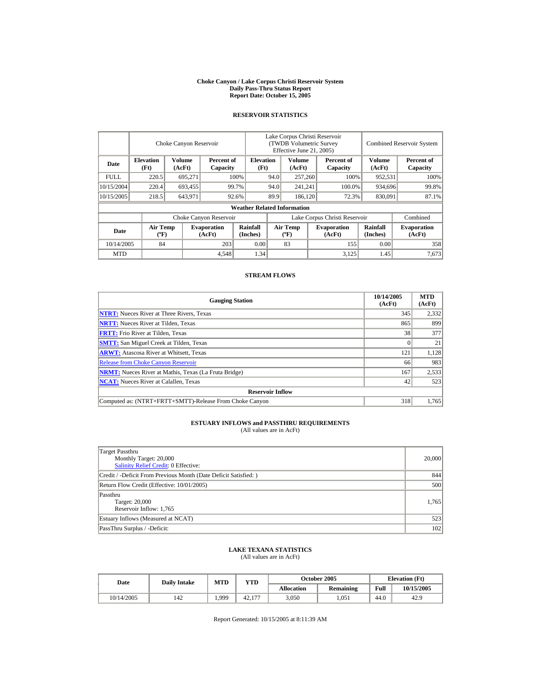#### **Choke Canyon / Lake Corpus Christi Reservoir System Daily Pass-Thru Status Report Report Date: October 15, 2005**

## **RESERVOIR STATISTICS**

|             | Choke Canyon Reservoir                      |                  |                              |                                    | Lake Corpus Christi Reservoir<br>(TWDB Volumetric Survey<br>Effective June 21, 2005) |                                  |  |                              | <b>Combined Reservoir System</b> |                              |  |
|-------------|---------------------------------------------|------------------|------------------------------|------------------------------------|--------------------------------------------------------------------------------------|----------------------------------|--|------------------------------|----------------------------------|------------------------------|--|
| Date        | <b>Elevation</b><br>(Ft)                    | Volume<br>(AcFt) | Percent of<br>Capacity       | <b>Elevation</b><br>(Ft)           |                                                                                      | Volume<br>(AcFt)                 |  | Percent of<br>Capacity       | Volume<br>(AcFt)                 | Percent of<br>Capacity       |  |
| <b>FULL</b> | 220.5                                       | 695,271          |                              | 100%                               | 94.0                                                                                 | 257,260                          |  | 100%                         | 952,531                          | 100%                         |  |
| 10/15/2004  | 220.4                                       | 693,455          |                              | 99.7%                              | 94.0<br>241,241                                                                      |                                  |  | 100.0%                       | 934,696                          | 99.8%                        |  |
| 10/15/2005  | 218.5                                       | 643,971          |                              | 92.6%                              | 89.9                                                                                 | 186.120                          |  | 72.3%                        | 830,091                          | 87.1%                        |  |
|             |                                             |                  |                              | <b>Weather Related Information</b> |                                                                                      |                                  |  |                              |                                  |                              |  |
|             |                                             |                  | Choke Canyon Reservoir       |                                    | Lake Corpus Christi Reservoir                                                        |                                  |  |                              |                                  | Combined                     |  |
| Date        | <b>Air Temp</b><br>$({}^{\circ}\mathrm{F})$ |                  | <b>Evaporation</b><br>(AcFt) | Rainfall<br>(Inches)               |                                                                                      | <b>Air Temp</b><br>$(^{\circ}F)$ |  | <b>Evaporation</b><br>(AcFt) | <b>Rainfall</b><br>(Inches)      | <b>Evaporation</b><br>(AcFt) |  |
| 10/14/2005  | 84                                          |                  | 203                          | 0.00                               |                                                                                      | 83                               |  | 155                          | 0.00                             | 358                          |  |
| <b>MTD</b>  |                                             |                  | 4,548                        | 1.34                               |                                                                                      |                                  |  | 3,125                        | 1.45                             | 7.673                        |  |

## **STREAM FLOWS**

| <b>Gauging Station</b>                                       | 10/14/2005<br>(AcFt) | <b>MTD</b><br>(AcFt) |
|--------------------------------------------------------------|----------------------|----------------------|
| <b>NTRT:</b> Nueces River at Three Rivers, Texas             | 345                  | 2,332                |
| <b>NRTT:</b> Nueces River at Tilden, Texas                   | 865                  | 899                  |
| <b>FRTT:</b> Frio River at Tilden, Texas                     | 38                   | 377                  |
| <b>SMTT:</b> San Miguel Creek at Tilden, Texas               |                      | 21                   |
| <b>ARWT:</b> Atascosa River at Whitsett, Texas               | 121                  | 1,128                |
| <b>Release from Choke Canyon Reservoir</b>                   | 66                   | 983                  |
| <b>NRMT:</b> Nueces River at Mathis, Texas (La Fruta Bridge) | 167                  | 2,533                |
| <b>NCAT:</b> Nueces River at Calallen. Texas                 | 42                   | 523                  |
| <b>Reservoir Inflow</b>                                      |                      |                      |
| Computed as: (NTRT+FRTT+SMTT)-Release From Choke Canyon      | 318                  | 1.765                |

# **ESTUARY INFLOWS and PASSTHRU REQUIREMENTS**<br>(All values are in AcFt)

| Target Passthru<br>Monthly Target: 20,000<br>Salinity Relief Credit: 0 Effective: | 20,000 |
|-----------------------------------------------------------------------------------|--------|
| Credit / -Deficit From Previous Month (Date Deficit Satisfied: )                  | 844    |
| Return Flow Credit (Effective: 10/01/2005)                                        | 500    |
| Passthru<br>Target: 20,000<br>Reservoir Inflow: 1,765                             | 1,765  |
| Estuary Inflows (Measured at NCAT)                                                | 523    |
| PassThru Surplus / -Deficit:                                                      | 102    |

## **LAKE TEXANA STATISTICS**

(All values are in AcFt)

| Date       | <b>Daily Intake</b> | <b>MTD</b> | VTD    |            | <b>October 2005</b> | <b>Elevation</b> (Ft) |            |
|------------|---------------------|------------|--------|------------|---------------------|-----------------------|------------|
|            |                     |            |        | Allocation | <b>Remaining</b>    | Full                  | 10/15/2005 |
| 10/14/2005 | 142                 | 1,999      | 42.177 | 3,050      | .051                | 44.0                  | 42.9       |

Report Generated: 10/15/2005 at 8:11:39 AM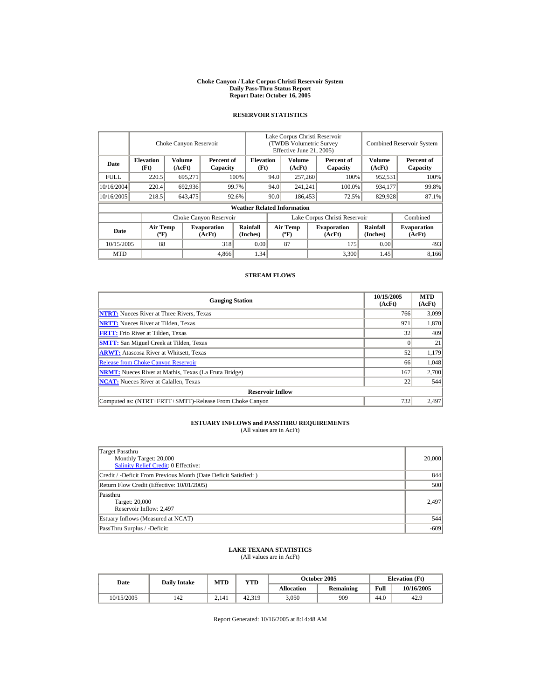#### **Choke Canyon / Lake Corpus Christi Reservoir System Daily Pass-Thru Status Report Report Date: October 16, 2005**

## **RESERVOIR STATISTICS**

|             |                                             | Choke Canyon Reservoir  |                              |                                    |                               | Lake Corpus Christi Reservoir<br><b>(TWDB Volumetric Survey)</b><br>Effective June 21, 2005) |  |                              |                             | <b>Combined Reservoir System</b> |  |  |
|-------------|---------------------------------------------|-------------------------|------------------------------|------------------------------------|-------------------------------|----------------------------------------------------------------------------------------------|--|------------------------------|-----------------------------|----------------------------------|--|--|
| Date        | <b>Elevation</b><br>(Ft)                    | <b>Volume</b><br>(AcFt) | Percent of<br>Capacity       | <b>Elevation</b><br>(Ft)           |                               | <b>Volume</b><br>(AcFt)                                                                      |  | Percent of<br>Capacity       | Volume<br>(AcFt)            | Percent of<br>Capacity           |  |  |
| <b>FULL</b> | 220.5                                       | 695,271                 |                              | 100%                               | 94.0                          | 257,260                                                                                      |  | 100%                         | 952,531                     | 100%                             |  |  |
| 10/16/2004  | 220.4                                       | 692,936                 |                              | 94.0<br>99.7%                      |                               | 241,241                                                                                      |  | 100.0%                       | 934,177                     | 99.8%                            |  |  |
| 10/16/2005  | 218.5                                       | 643,475                 |                              | 92.6%                              | 90.0                          | 186,453                                                                                      |  | 72.5%                        | 829,928                     | 87.1%                            |  |  |
|             |                                             |                         |                              | <b>Weather Related Information</b> |                               |                                                                                              |  |                              |                             |                                  |  |  |
|             |                                             |                         | Choke Canyon Reservoir       |                                    | Lake Corpus Christi Reservoir |                                                                                              |  |                              |                             | Combined                         |  |  |
| Date        | <b>Air Temp</b><br>$({}^{\circ}\mathrm{F})$ |                         | <b>Evaporation</b><br>(AcFt) | Rainfall<br>(Inches)               |                               | <b>Air Temp</b><br>$(^{\circ}F)$                                                             |  | <b>Evaporation</b><br>(AcFt) | <b>Rainfall</b><br>(Inches) | <b>Evaporation</b><br>(AcFt)     |  |  |
| 10/15/2005  | 88                                          |                         | 318                          | 0.00                               |                               | 87                                                                                           |  | 175                          | 0.00                        | 493                              |  |  |
| <b>MTD</b>  |                                             |                         | 4,866                        | 1.34                               |                               |                                                                                              |  | 3,300                        | 1.45                        | 8.166                            |  |  |

## **STREAM FLOWS**

| <b>Gauging Station</b>                                       | 10/15/2005<br>(AcFt) | <b>MTD</b><br>(AcFt) |
|--------------------------------------------------------------|----------------------|----------------------|
| <b>NTRT:</b> Nueces River at Three Rivers, Texas             | 766                  | 3,099                |
| <b>NRTT:</b> Nueces River at Tilden, Texas                   | 971                  | 1,870                |
| <b>FRTT:</b> Frio River at Tilden, Texas                     | 32                   | 409                  |
| <b>SMTT:</b> San Miguel Creek at Tilden, Texas               |                      | 21                   |
| <b>ARWT:</b> Atascosa River at Whitsett, Texas               | 52                   | 1.179                |
| <b>Release from Choke Canyon Reservoir</b>                   | 66                   | 1,048                |
| <b>NRMT:</b> Nueces River at Mathis, Texas (La Fruta Bridge) | 167                  | 2,700                |
| <b>NCAT:</b> Nueces River at Calallen, Texas                 | 22                   | 544                  |
| <b>Reservoir Inflow</b>                                      |                      |                      |
| Computed as: (NTRT+FRTT+SMTT)-Release From Choke Canyon      | 732                  | 2.497                |

# **ESTUARY INFLOWS and PASSTHRU REQUIREMENTS**<br>(All values are in AcFt)

| Target Passthru<br>Monthly Target: 20,000<br>Salinity Relief Credit: 0 Effective: | 20,000 |
|-----------------------------------------------------------------------------------|--------|
| Credit / -Deficit From Previous Month (Date Deficit Satisfied: )                  | 844    |
| Return Flow Credit (Effective: 10/01/2005)                                        | 500    |
| Passthru<br>Target: 20,000<br>Reservoir Inflow: 2,497                             | 2.497  |
| Estuary Inflows (Measured at NCAT)                                                | 544    |
| PassThru Surplus / -Deficit:                                                      | $-609$ |

## **LAKE TEXANA STATISTICS**

(All values are in AcFt)

| <b>Date</b> | <b>Daily Intake</b> | <b>MTD</b> | <b>YTD</b> |            | October 2005     | <b>Elevation</b> (Ft) |            |
|-------------|---------------------|------------|------------|------------|------------------|-----------------------|------------|
|             |                     |            |            | Allocation | <b>Remaining</b> | Full                  | 10/16/2005 |
| 10/15/2005  | 142                 | 2.141      | 42.319     | 3,050      | 909              | 44.0                  | 42.9       |

Report Generated: 10/16/2005 at 8:14:48 AM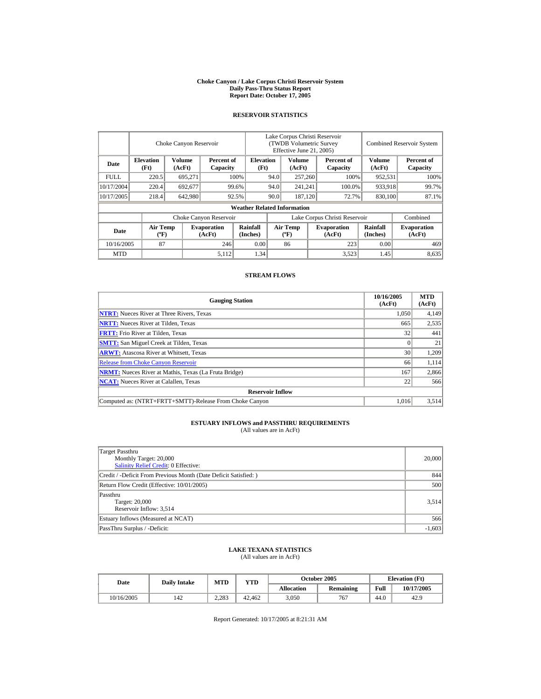#### **Choke Canyon / Lake Corpus Christi Reservoir System Daily Pass-Thru Status Report Report Date: October 17, 2005**

## **RESERVOIR STATISTICS**

|             |                                             | Choke Canyon Reservoir |                              |                                    |                               | Lake Corpus Christi Reservoir<br>(TWDB Volumetric Survey<br>Effective June 21, 2005) |         |                              |                             | <b>Combined Reservoir System</b> |  |  |
|-------------|---------------------------------------------|------------------------|------------------------------|------------------------------------|-------------------------------|--------------------------------------------------------------------------------------|---------|------------------------------|-----------------------------|----------------------------------|--|--|
| Date        | <b>Elevation</b><br>(Ft)                    | Volume<br>(AcFt)       | Percent of<br>Capacity       |                                    | <b>Elevation</b><br>(Ft)      | Volume<br>(AcFt)                                                                     |         | Percent of<br>Capacity       | Volume<br>(AcFt)            | Percent of<br>Capacity           |  |  |
| <b>FULL</b> | 220.5                                       | 695,271                |                              | 100%                               | 94.0                          | 257,260                                                                              |         | 100%                         | 952,531                     | 100%                             |  |  |
| 10/17/2004  | 220.4                                       | 692,677                |                              | 99.6%                              | 94.0                          | 241,241                                                                              |         | 100.0%                       | 933,918                     | 99.7%                            |  |  |
| 10/17/2005  | 218.4                                       | 642,980                |                              | 92.5%                              | 90.0                          |                                                                                      | 187,120 | 72.7%                        | 830,100                     | 87.1%                            |  |  |
|             |                                             |                        |                              | <b>Weather Related Information</b> |                               |                                                                                      |         |                              |                             |                                  |  |  |
|             |                                             |                        | Choke Canyon Reservoir       |                                    | Lake Corpus Christi Reservoir |                                                                                      |         |                              |                             | Combined                         |  |  |
| Date        | <b>Air Temp</b><br>$({}^{\circ}\mathrm{F})$ |                        | <b>Evaporation</b><br>(AcFt) | Rainfall<br>(Inches)               |                               | <b>Air Temp</b><br>$({}^{\circ}\mathbf{F})$                                          |         | <b>Evaporation</b><br>(AcFt) | <b>Rainfall</b><br>(Inches) | <b>Evaporation</b><br>(AcFt)     |  |  |
| 10/16/2005  | 87                                          |                        | 246                          | 0.00                               |                               | 86                                                                                   |         | 223                          | 0.00                        | 469                              |  |  |
| <b>MTD</b>  |                                             |                        | 5,112                        | 1.34                               |                               |                                                                                      |         | 3,523                        | 1.45                        | 8,635                            |  |  |

## **STREAM FLOWS**

| <b>Gauging Station</b>                                       | 10/16/2005<br>(AcFt) | <b>MTD</b><br>(AcFt) |
|--------------------------------------------------------------|----------------------|----------------------|
| <b>NTRT:</b> Nueces River at Three Rivers, Texas             | 1,050                | 4,149                |
| <b>NRTT:</b> Nueces River at Tilden, Texas                   | 665                  | 2,535                |
| <b>FRTT:</b> Frio River at Tilden, Texas                     | 32                   | 441                  |
| <b>SMTT:</b> San Miguel Creek at Tilden, Texas               |                      | 21                   |
| <b>ARWT:</b> Atascosa River at Whitsett, Texas               | 30                   | 1,209                |
| <b>Release from Choke Canyon Reservoir</b>                   | 66                   | 1,114                |
| <b>NRMT:</b> Nueces River at Mathis, Texas (La Fruta Bridge) | 167                  | 2,866                |
| <b>NCAT:</b> Nueces River at Calallen, Texas                 | 22                   | 566                  |
| <b>Reservoir Inflow</b>                                      |                      |                      |
| Computed as: (NTRT+FRTT+SMTT)-Release From Choke Canyon      | 1.016                | 3,514                |

# **ESTUARY INFLOWS and PASSTHRU REQUIREMENTS**<br>(All values are in AcFt)

| Target Passthru<br>Monthly Target: 20,000<br>Salinity Relief Credit: 0 Effective: | 20,000   |
|-----------------------------------------------------------------------------------|----------|
| Credit / -Deficit From Previous Month (Date Deficit Satisfied: )                  | 844      |
| Return Flow Credit (Effective: 10/01/2005)                                        | 500      |
| Passthru<br>Target: 20,000<br>Reservoir Inflow: 3,514                             | 3,514    |
| Estuary Inflows (Measured at NCAT)                                                | 566      |
| PassThru Surplus / -Deficit:                                                      | $-1,603$ |

## **LAKE TEXANA STATISTICS**

(All values are in AcFt)

| Date       | <b>Daily Intake</b> | <b>MTD</b> | VTD    |            | <b>October 2005</b> | <b>Elevation</b> (Ft) |            |
|------------|---------------------|------------|--------|------------|---------------------|-----------------------|------------|
|            |                     |            |        | Allocation | <b>Remaining</b>    | Full                  | 10/17/2005 |
| 10/16/2005 | 142                 | 2.283      | 42.462 | 3,050      | 767                 | 44.0                  | 42.9       |

Report Generated: 10/17/2005 at 8:21:31 AM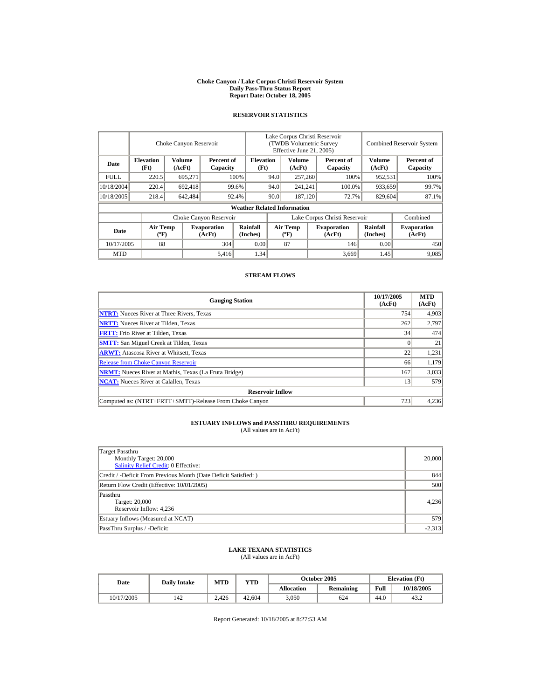#### **Choke Canyon / Lake Corpus Christi Reservoir System Daily Pass-Thru Status Report Report Date: October 18, 2005**

## **RESERVOIR STATISTICS**

|             | Choke Canyon Reservoir                      |                  |                              |                                    | Lake Corpus Christi Reservoir<br>(TWDB Volumetric Survey<br>Effective June 21, 2005) |                                             |         |                              | <b>Combined Reservoir System</b> |                              |  |
|-------------|---------------------------------------------|------------------|------------------------------|------------------------------------|--------------------------------------------------------------------------------------|---------------------------------------------|---------|------------------------------|----------------------------------|------------------------------|--|
| Date        | <b>Elevation</b><br>(Ft)                    | Volume<br>(AcFt) | Percent of<br>Capacity       | <b>Elevation</b><br>(Ft)           |                                                                                      | Volume<br>(AcFt)                            |         | Percent of<br>Capacity       | Volume<br>(AcFt)                 | Percent of<br>Capacity       |  |
| <b>FULL</b> | 220.5                                       | 695,271          |                              | 100%                               | 94.0                                                                                 | 257,260                                     |         | 100%                         | 952,531                          | 100%                         |  |
| 10/18/2004  | 220.4                                       | 692,418          |                              | 99.6%                              | 94.0                                                                                 |                                             | 241,241 | 100.0%                       | 933,659                          | 99.7%                        |  |
| 10/18/2005  | 218.4                                       | 642,484          |                              | 92.4%                              | 90.0                                                                                 | 187,120                                     |         | 72.7%                        | 829,604                          | 87.1%                        |  |
|             |                                             |                  |                              | <b>Weather Related Information</b> |                                                                                      |                                             |         |                              |                                  |                              |  |
|             |                                             |                  | Choke Canyon Reservoir       |                                    | Lake Corpus Christi Reservoir                                                        |                                             |         |                              |                                  | Combined                     |  |
| Date        | <b>Air Temp</b><br>$({}^{\circ}\mathrm{F})$ |                  | <b>Evaporation</b><br>(AcFt) | Rainfall<br>(Inches)               |                                                                                      | <b>Air Temp</b><br>$({}^{\circ}\mathbf{F})$ |         | <b>Evaporation</b><br>(AcFt) | <b>Rainfall</b><br>(Inches)      | <b>Evaporation</b><br>(AcFt) |  |
| 10/17/2005  | 88                                          |                  | 304                          | 0.00                               |                                                                                      | 87                                          |         | 146                          | 0.00                             | 450                          |  |
| <b>MTD</b>  |                                             |                  | 5,416                        | 1.34                               |                                                                                      |                                             |         | 3,669                        | 1.45                             | 9,085                        |  |

## **STREAM FLOWS**

| <b>Gauging Station</b>                                       | 10/17/2005<br>(AcFt) | <b>MTD</b><br>(AcFt) |
|--------------------------------------------------------------|----------------------|----------------------|
| <b>NTRT:</b> Nueces River at Three Rivers, Texas             | 754                  | 4,903                |
| <b>NRTT:</b> Nueces River at Tilden, Texas                   | 262                  | 2,797                |
| <b>FRTT:</b> Frio River at Tilden, Texas                     | 34                   | 474                  |
| <b>SMTT:</b> San Miguel Creek at Tilden, Texas               |                      | 21                   |
| <b>ARWT:</b> Atascosa River at Whitsett, Texas               | 22                   | 1,231                |
| <b>Release from Choke Canyon Reservoir</b>                   | 66                   | 1,179                |
| <b>NRMT:</b> Nueces River at Mathis, Texas (La Fruta Bridge) | 167                  | 3,033                |
| <b>NCAT:</b> Nueces River at Calallen, Texas                 | 13                   | 579                  |
| <b>Reservoir Inflow</b>                                      |                      |                      |
| Computed as: (NTRT+FRTT+SMTT)-Release From Choke Canyon      | 723                  | 4,236                |

# **ESTUARY INFLOWS and PASSTHRU REQUIREMENTS**<br>(All values are in AcFt)

| Target Passthru<br>Monthly Target: 20,000<br>Salinity Relief Credit: 0 Effective: | 20,000   |
|-----------------------------------------------------------------------------------|----------|
| Credit / -Deficit From Previous Month (Date Deficit Satisfied: )                  | 844      |
| Return Flow Credit (Effective: 10/01/2005)                                        | 500      |
| Passthru<br>Target: 20,000<br>Reservoir Inflow: 4,236                             | 4,236    |
| Estuary Inflows (Measured at NCAT)                                                | 579      |
| PassThru Surplus / -Deficit:                                                      | $-2,313$ |

## **LAKE TEXANA STATISTICS**

(All values are in AcFt)

| Date       | <b>Daily Intake</b> | <b>MTD</b> | VTD    |            | <b>October 2005</b> | <b>Elevation</b> (Ft) |            |
|------------|---------------------|------------|--------|------------|---------------------|-----------------------|------------|
|            |                     |            |        | Allocation | <b>Remaining</b>    | Full                  | 10/18/2005 |
| 10/17/2005 | 142                 | 2.426      | 42.604 | 3,050      | 624                 | 44.0                  | 43.2       |

Report Generated: 10/18/2005 at 8:27:53 AM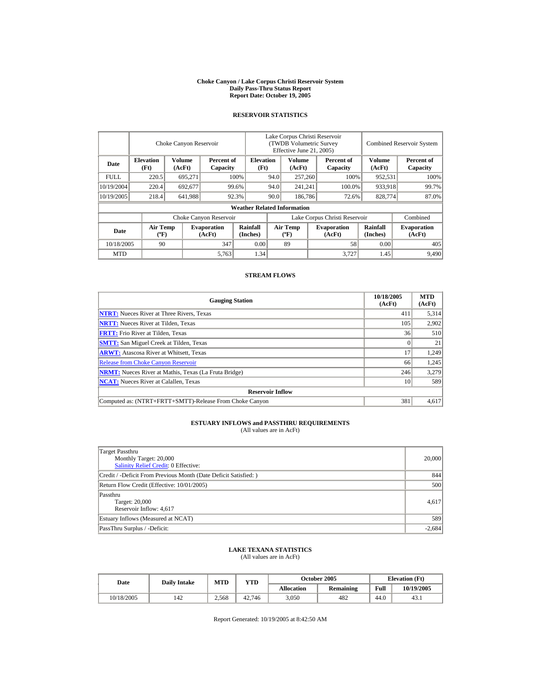#### **Choke Canyon / Lake Corpus Christi Reservoir System Daily Pass-Thru Status Report Report Date: October 19, 2005**

## **RESERVOIR STATISTICS**

|             |                                       | Choke Canyon Reservoir |                              |                                    | Lake Corpus Christi Reservoir<br>(TWDB Volumetric Survey<br>Effective June 21, 2005) |                                          |  |                              |                             | <b>Combined Reservoir System</b> |
|-------------|---------------------------------------|------------------------|------------------------------|------------------------------------|--------------------------------------------------------------------------------------|------------------------------------------|--|------------------------------|-----------------------------|----------------------------------|
| Date        | <b>Elevation</b><br>(Ft)              | Volume<br>(AcFt)       | Percent of<br>Capacity       | <b>Elevation</b><br>(Ft)           |                                                                                      | Volume<br>(AcFt)                         |  | Percent of<br>Capacity       | Volume<br>(AcFt)            | Percent of<br>Capacity           |
| <b>FULL</b> | 220.5                                 | 695,271                |                              | 100%                               | 94.0                                                                                 | 257,260                                  |  | 100%                         | 952,531                     | 100%                             |
| 10/19/2004  | 220.4                                 | 692,677                |                              | 99.6%                              | 94.0                                                                                 | 241,241                                  |  | 100.0%                       | 933,918                     | 99.7%                            |
| 10/19/2005  | 218.4                                 | 641,988                |                              | 92.3%                              | 90.0                                                                                 | 186,786                                  |  | 72.6%                        | 828,774                     | 87.0%                            |
|             |                                       |                        |                              | <b>Weather Related Information</b> |                                                                                      |                                          |  |                              |                             |                                  |
|             |                                       |                        | Choke Canyon Reservoir       |                                    | Lake Corpus Christi Reservoir                                                        |                                          |  |                              |                             | Combined                         |
| Date        | <b>Air Temp</b><br>$({}^o\mathrm{F})$ |                        | <b>Evaporation</b><br>(AcFt) | <b>Rainfall</b><br>(Inches)        |                                                                                      | <b>Air Temp</b><br>$({}^{\circ}{\rm F})$ |  | <b>Evaporation</b><br>(AcFt) | <b>Rainfall</b><br>(Inches) | <b>Evaporation</b><br>(AcFt)     |
| 10/18/2005  | 90                                    |                        | 347                          | 0.00                               |                                                                                      | 89                                       |  | 58                           | 0.00                        | 405                              |
| <b>MTD</b>  |                                       |                        | 5,763                        | 1.34                               |                                                                                      |                                          |  | 3.727                        | 1.45                        | 9,490                            |

## **STREAM FLOWS**

| <b>Gauging Station</b>                                       | 10/18/2005<br>(AcFt) | <b>MTD</b><br>(AcFt) |
|--------------------------------------------------------------|----------------------|----------------------|
| <b>NTRT:</b> Nueces River at Three Rivers, Texas             | 411                  | 5,314                |
| <b>NRTT:</b> Nueces River at Tilden, Texas                   | 105                  | 2,902                |
| <b>FRTT:</b> Frio River at Tilden, Texas                     | 36                   | 510                  |
| <b>SMTT:</b> San Miguel Creek at Tilden, Texas               |                      | 21                   |
| <b>ARWT:</b> Atascosa River at Whitsett, Texas               | 17                   | 1.249                |
| <b>Release from Choke Canyon Reservoir</b>                   | 66                   | 1,245                |
| <b>NRMT:</b> Nueces River at Mathis, Texas (La Fruta Bridge) | 246                  | 3,279                |
| <b>NCAT:</b> Nueces River at Calallen, Texas                 | 10                   | 589                  |
| <b>Reservoir Inflow</b>                                      |                      |                      |
| Computed as: (NTRT+FRTT+SMTT)-Release From Choke Canyon      | 381                  | 4.617                |

# **ESTUARY INFLOWS and PASSTHRU REQUIREMENTS**<br>(All values are in AcFt)

| Target Passthru<br>Monthly Target: 20,000<br><b>Salinity Relief Credit: 0 Effective:</b> | 20,000   |
|------------------------------------------------------------------------------------------|----------|
| Credit / -Deficit From Previous Month (Date Deficit Satisfied: )                         | 844      |
| Return Flow Credit (Effective: 10/01/2005)                                               | 500      |
| Passthru<br>Target: 20,000<br>Reservoir Inflow: 4,617                                    | 4,617    |
| Estuary Inflows (Measured at NCAT)                                                       | 589      |
| PassThru Surplus / -Deficit:                                                             | $-2,684$ |

## **LAKE TEXANA STATISTICS**

(All values are in AcFt)

| Date       | <b>Daily Intake</b> | <b>MTD</b> | VTD    |            | <b>October 2005</b> | <b>Elevation</b> (Ft) |            |
|------------|---------------------|------------|--------|------------|---------------------|-----------------------|------------|
|            |                     |            |        | Allocation | <b>Remaining</b>    | Full                  | 10/19/2005 |
| 10/18/2005 | 142                 | 2.568      | 42.746 | 3,050      | 482                 | 44.0                  | 43.1       |

Report Generated: 10/19/2005 at 8:42:50 AM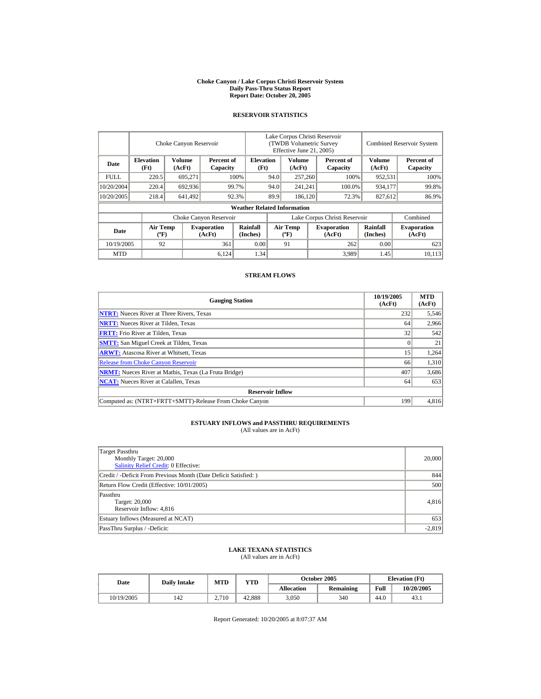#### **Choke Canyon / Lake Corpus Christi Reservoir System Daily Pass-Thru Status Report Report Date: October 20, 2005**

## **RESERVOIR STATISTICS**

|             |                                             | Choke Canyon Reservoir  |                              |                                    |                               | Lake Corpus Christi Reservoir<br><b>(TWDB Volumetric Survey)</b><br>Effective June 21, 2005) |  |                              |                             | <b>Combined Reservoir System</b> |  |  |
|-------------|---------------------------------------------|-------------------------|------------------------------|------------------------------------|-------------------------------|----------------------------------------------------------------------------------------------|--|------------------------------|-----------------------------|----------------------------------|--|--|
| Date        | <b>Elevation</b><br>(Ft)                    | <b>Volume</b><br>(AcFt) | Percent of<br>Capacity       | <b>Elevation</b><br>(Ft)           |                               | <b>Volume</b><br>(AcFt)                                                                      |  | Percent of<br>Capacity       | Volume<br>(AcFt)            | Percent of<br>Capacity           |  |  |
| <b>FULL</b> | 220.5                                       | 695,271                 |                              | 100%                               |                               | 257,260<br>94.0                                                                              |  | 100%                         | 952,531                     | 100%                             |  |  |
| 10/20/2004  | 220.4                                       | 692,936                 |                              | 99.7%                              | 94.0                          | 241,241                                                                                      |  | 100.0%                       | 934,177                     | 99.8%                            |  |  |
| 10/20/2005  | 218.4                                       | 641,492                 |                              | 92.3%                              | 89.9                          | 186,120                                                                                      |  | 72.3%                        | 827,612                     | 86.9%                            |  |  |
|             |                                             |                         |                              | <b>Weather Related Information</b> |                               |                                                                                              |  |                              |                             |                                  |  |  |
|             |                                             |                         | Choke Canyon Reservoir       |                                    | Lake Corpus Christi Reservoir |                                                                                              |  |                              |                             | Combined                         |  |  |
| Date        | <b>Air Temp</b><br>$({}^{\circ}\mathrm{F})$ |                         | <b>Evaporation</b><br>(AcFt) | Rainfall<br>(Inches)               |                               | <b>Air Temp</b><br>$({}^{\circ}\mathbf{F})$                                                  |  | <b>Evaporation</b><br>(AcFt) | <b>Rainfall</b><br>(Inches) | <b>Evaporation</b><br>(AcFt)     |  |  |
| 10/19/2005  | 92                                          |                         | 361                          | 0.00                               |                               | 91                                                                                           |  | 262                          | 0.00                        | 623                              |  |  |
| <b>MTD</b>  |                                             |                         | 6.124                        | 1.34                               |                               |                                                                                              |  | 3,989                        | 1.45                        | 10.113                           |  |  |

## **STREAM FLOWS**

| <b>Gauging Station</b>                                       | 10/19/2005<br>(AcFt) | <b>MTD</b><br>(AcFt) |
|--------------------------------------------------------------|----------------------|----------------------|
| <b>NTRT:</b> Nueces River at Three Rivers, Texas             | 232                  | 5,546                |
| <b>NRTT:</b> Nueces River at Tilden, Texas                   | 64                   | 2,966                |
| <b>FRTT:</b> Frio River at Tilden, Texas                     | 32                   | 542                  |
| <b>SMTT:</b> San Miguel Creek at Tilden, Texas               |                      | 21                   |
| <b>ARWT:</b> Atascosa River at Whitsett, Texas               | 15                   | 1,264                |
| <b>Release from Choke Canyon Reservoir</b>                   | 66                   | 1.310                |
| <b>NRMT:</b> Nueces River at Mathis, Texas (La Fruta Bridge) | 407                  | 3,686                |
| <b>NCAT:</b> Nueces River at Calallen, Texas                 | 64                   | 653                  |
| <b>Reservoir Inflow</b>                                      |                      |                      |
| Computed as: (NTRT+FRTT+SMTT)-Release From Choke Canyon      | 199                  | 4.816                |

# **ESTUARY INFLOWS and PASSTHRU REQUIREMENTS**<br>(All values are in AcFt)

| Target Passthru<br>Monthly Target: 20,000<br>Salinity Relief Credit: 0 Effective: | 20,000   |
|-----------------------------------------------------------------------------------|----------|
| Credit / -Deficit From Previous Month (Date Deficit Satisfied:)                   | 844      |
| Return Flow Credit (Effective: 10/01/2005)                                        | 500      |
| Passthru<br>Target: 20,000<br>Reservoir Inflow: 4,816                             | 4,816    |
| Estuary Inflows (Measured at NCAT)                                                | 653      |
| PassThru Surplus / -Deficit:                                                      | $-2,819$ |

## **LAKE TEXANA STATISTICS**

(All values are in AcFt)

| Date       | <b>Daily Intake</b> | MTD   | VTD    |                   | <b>October 2005</b> | <b>Elevation</b> (Ft) |            |
|------------|---------------------|-------|--------|-------------------|---------------------|-----------------------|------------|
|            |                     |       |        | <b>Allocation</b> | <b>Remaining</b>    | Full                  | 10/20/2005 |
| 10/19/2005 | 142                 | 2.710 | 42.888 | 3,050             | 340                 | 44.0                  | 43.1       |

Report Generated: 10/20/2005 at 8:07:37 AM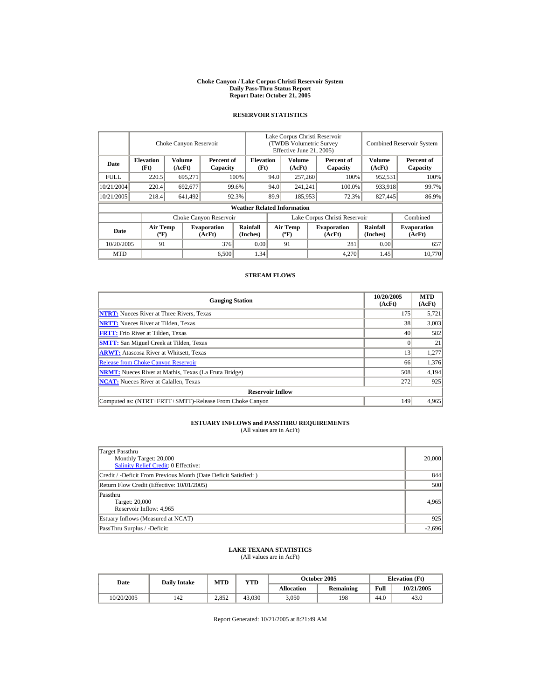#### **Choke Canyon / Lake Corpus Christi Reservoir System Daily Pass-Thru Status Report Report Date: October 21, 2005**

## **RESERVOIR STATISTICS**

|            | Choke Canyon Reservoir                      |                  |                              |                                    | Lake Corpus Christi Reservoir<br>(TWDB Volumetric Survey<br>Effective June 21, 2005) |                                             |      |                              |                      | <b>Combined Reservoir System</b> |  |  |
|------------|---------------------------------------------|------------------|------------------------------|------------------------------------|--------------------------------------------------------------------------------------|---------------------------------------------|------|------------------------------|----------------------|----------------------------------|--|--|
| Date       | <b>Elevation</b><br>(Ft)                    | Volume<br>(AcFt) | Percent of<br>Capacity       | <b>Elevation</b><br>(Ft)           |                                                                                      | Volume<br>(AcFt)                            |      | Percent of<br>Capacity       | Volume<br>(AcFt)     | Percent of<br>Capacity           |  |  |
| FULL.      | 220.5                                       | 695,271          |                              | 100%                               | 94.0<br>257,260                                                                      |                                             | 100% | 952,531                      | 100%                 |                                  |  |  |
| 10/21/2004 | 220.4                                       | 692,677          |                              | 99.6%                              | 94.0                                                                                 | 241,241                                     |      | 100.0%                       | 933,918              | 99.7%                            |  |  |
| 10/21/2005 | 218.4                                       | 641,492          |                              | 92.3%                              | 89.9<br>185,953                                                                      |                                             |      | 72.3%                        | 827,445              | 86.9%                            |  |  |
|            |                                             |                  |                              | <b>Weather Related Information</b> |                                                                                      |                                             |      |                              |                      |                                  |  |  |
|            |                                             |                  | Choke Canyon Reservoir       |                                    | Lake Corpus Christi Reservoir                                                        |                                             |      |                              |                      | Combined                         |  |  |
| Date       | <b>Air Temp</b><br>$({}^{\circ}\mathrm{F})$ |                  | <b>Evaporation</b><br>(AcFt) | Rainfall<br>(Inches)               |                                                                                      | <b>Air Temp</b><br>$({}^{\circ}\mathbf{F})$ |      | <b>Evaporation</b><br>(AcFt) | Rainfall<br>(Inches) | <b>Evaporation</b><br>(AcFt)     |  |  |
| 10/20/2005 | 91                                          |                  | 376                          | 0.00                               |                                                                                      | 91                                          |      | 281                          | 0.00                 | 657                              |  |  |
| <b>MTD</b> |                                             |                  | 6,500                        | 1.34                               |                                                                                      |                                             |      | 4,270                        | 1.45                 | 10.770                           |  |  |

## **STREAM FLOWS**

| <b>Gauging Station</b>                                       | 10/20/2005<br>(AcFt) | <b>MTD</b><br>(AcFt) |
|--------------------------------------------------------------|----------------------|----------------------|
| <b>NTRT:</b> Nueces River at Three Rivers, Texas             | 175                  | 5,721                |
| <b>NRTT:</b> Nueces River at Tilden, Texas                   | 38                   | 3,003                |
| <b>FRTT:</b> Frio River at Tilden, Texas                     | 40                   | 582                  |
| <b>SMTT:</b> San Miguel Creek at Tilden, Texas               |                      | 21                   |
| <b>ARWT:</b> Atascosa River at Whitsett, Texas               | 13                   | 1,277                |
| <b>Release from Choke Canyon Reservoir</b>                   | 66                   | 1,376                |
| <b>NRMT:</b> Nueces River at Mathis, Texas (La Fruta Bridge) | 508                  | 4,194                |
| <b>NCAT:</b> Nueces River at Calallen, Texas                 | 272                  | 925                  |
| <b>Reservoir Inflow</b>                                      |                      |                      |
| Computed as: (NTRT+FRTT+SMTT)-Release From Choke Canyon      | 149                  | 4.965                |

# **ESTUARY INFLOWS and PASSTHRU REQUIREMENTS**<br>(All values are in AcFt)

| Target Passthru<br>Monthly Target: 20,000<br>Salinity Relief Credit: 0 Effective: | 20,000   |
|-----------------------------------------------------------------------------------|----------|
| Credit / -Deficit From Previous Month (Date Deficit Satisfied:)                   | 844      |
| Return Flow Credit (Effective: 10/01/2005)                                        | 500      |
| Passthru<br>Target: 20,000<br>Reservoir Inflow: 4,965                             | 4,965    |
| Estuary Inflows (Measured at NCAT)                                                | 925      |
| PassThru Surplus / -Deficit:                                                      | $-2,696$ |

## **LAKE TEXANA STATISTICS**

(All values are in AcFt)

| Date       | <b>Daily Intake</b> | MTD   | VTD    |                   | <b>October 2005</b> | <b>Elevation</b> (Ft) |            |
|------------|---------------------|-------|--------|-------------------|---------------------|-----------------------|------------|
|            |                     |       |        | <b>Allocation</b> | <b>Remaining</b>    | Full                  | 10/21/2005 |
| 10/20/2005 | 142                 | 2.852 | 43.030 | 3,050             | 198                 | 44.0                  | 43.0       |

Report Generated: 10/21/2005 at 8:21:49 AM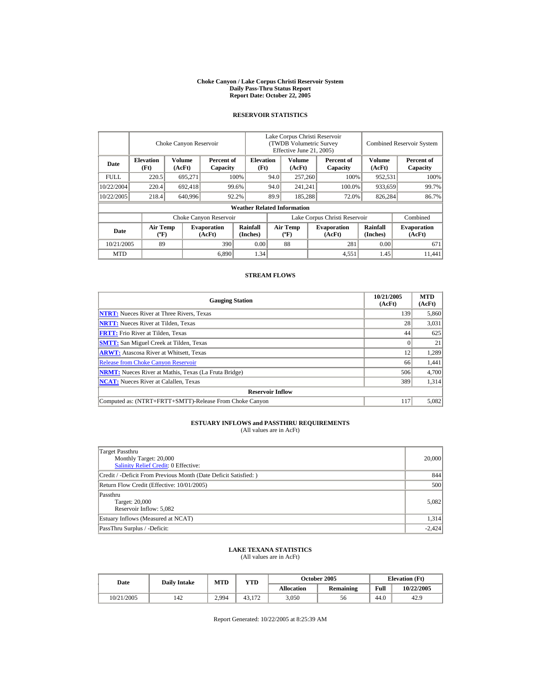#### **Choke Canyon / Lake Corpus Christi Reservoir System Daily Pass-Thru Status Report Report Date: October 22, 2005**

## **RESERVOIR STATISTICS**

|             | Choke Canyon Reservoir                      |                  |                              |                                    | Lake Corpus Christi Reservoir<br>(TWDB Volumetric Survey<br>Effective June 21, 2005) |                                             |  |                              | <b>Combined Reservoir System</b> |                              |  |
|-------------|---------------------------------------------|------------------|------------------------------|------------------------------------|--------------------------------------------------------------------------------------|---------------------------------------------|--|------------------------------|----------------------------------|------------------------------|--|
| Date        | <b>Elevation</b><br>(Ft)                    | Volume<br>(AcFt) | Percent of<br>Capacity       | <b>Elevation</b><br>(Ft)           |                                                                                      | Volume<br>(AcFt)                            |  | Percent of<br>Capacity       | Volume<br>(AcFt)                 | Percent of<br>Capacity       |  |
| <b>FULL</b> | 220.5                                       | 695,271          |                              | 100%                               | 94.0                                                                                 | 257,260                                     |  | 100%                         | 952,531                          | 100%                         |  |
| 10/22/2004  | 220.4                                       | 692,418          |                              | 99.6%                              | 94.0                                                                                 | 241,241                                     |  | 100.0%                       | 933,659                          | 99.7%                        |  |
| 10/22/2005  | 218.4                                       | 640,996          |                              | 92.2%                              | 89.9                                                                                 | 185,288                                     |  | 72.0%                        | 826,284                          | 86.7%                        |  |
|             |                                             |                  |                              | <b>Weather Related Information</b> |                                                                                      |                                             |  |                              |                                  |                              |  |
|             |                                             |                  | Choke Canyon Reservoir       |                                    | Lake Corpus Christi Reservoir                                                        |                                             |  |                              |                                  | Combined                     |  |
| Date        | <b>Air Temp</b><br>$({}^{\circ}\mathrm{F})$ |                  | <b>Evaporation</b><br>(AcFt) | Rainfall<br>(Inches)               |                                                                                      | <b>Air Temp</b><br>$({}^{\circ}\mathbf{F})$ |  | <b>Evaporation</b><br>(AcFt) | Rainfall<br>(Inches)             | <b>Evaporation</b><br>(AcFt) |  |
| 10/21/2005  | 89                                          |                  | 390                          | 0.00                               |                                                                                      | 88                                          |  | 281                          | 0.00                             | 671                          |  |
| <b>MTD</b>  |                                             |                  | 6,890                        | 1.34                               |                                                                                      |                                             |  | 4,551                        | 1.45                             | 11.441                       |  |

## **STREAM FLOWS**

| <b>Gauging Station</b>                                       | 10/21/2005<br>(AcFt) | <b>MTD</b><br>(AcFt) |
|--------------------------------------------------------------|----------------------|----------------------|
| <b>NTRT:</b> Nueces River at Three Rivers, Texas             | 139                  | 5,860                |
| <b>NRTT:</b> Nueces River at Tilden, Texas                   | 28                   | 3,031                |
| <b>FRTT:</b> Frio River at Tilden, Texas                     | 44                   | 625                  |
| <b>SMTT:</b> San Miguel Creek at Tilden, Texas               |                      | 21                   |
| <b>ARWT:</b> Atascosa River at Whitsett, Texas               | 12                   | 1,289                |
| <b>Release from Choke Canyon Reservoir</b>                   | 66                   | 1,441                |
| <b>NRMT:</b> Nueces River at Mathis, Texas (La Fruta Bridge) | 506                  | 4,700                |
| <b>NCAT:</b> Nueces River at Calallen, Texas                 | 389                  | 1,314                |
| <b>Reservoir Inflow</b>                                      |                      |                      |
| Computed as: (NTRT+FRTT+SMTT)-Release From Choke Canyon      | 117                  | 5.082                |

# **ESTUARY INFLOWS and PASSTHRU REQUIREMENTS**<br>(All values are in AcFt)

| Target Passthru<br>Monthly Target: 20,000<br>Salinity Relief Credit: 0 Effective: | 20,000   |
|-----------------------------------------------------------------------------------|----------|
| Credit / -Deficit From Previous Month (Date Deficit Satisfied:)                   | 844      |
| Return Flow Credit (Effective: 10/01/2005)                                        | 500      |
| Passthru<br>Target: 20,000<br>Reservoir Inflow: 5,082                             | 5,082    |
| Estuary Inflows (Measured at NCAT)                                                | 1,314    |
| PassThru Surplus / -Deficit:                                                      | $-2,424$ |

## **LAKE TEXANA STATISTICS**

(All values are in AcFt)

| Date       | <b>Daily Intake</b> | MTD   | <b>VTD</b> |            | October 2005 | <b>Elevation</b> (Ft) |            |
|------------|---------------------|-------|------------|------------|--------------|-----------------------|------------|
|            |                     |       |            | Allocation | Remaining    | Full                  | 10/22/2005 |
| 10/21/2005 | 142                 | 2.994 | 43.172     | 3,050      | 56           | 44.0                  | 42.9       |

Report Generated: 10/22/2005 at 8:25:39 AM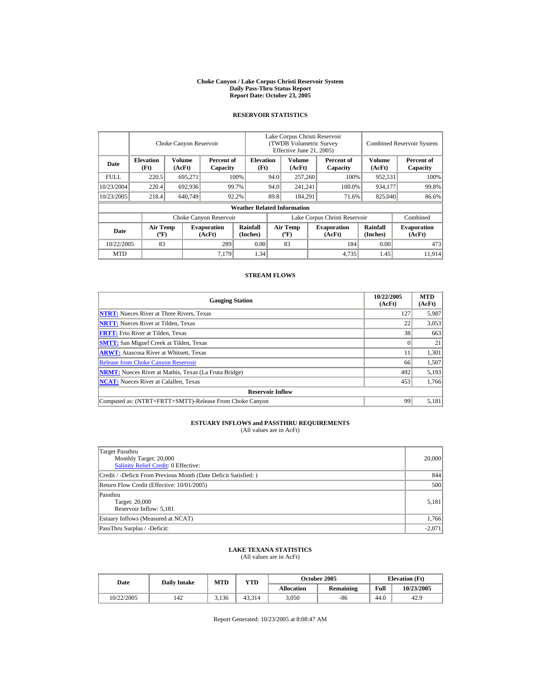#### **Choke Canyon / Lake Corpus Christi Reservoir System Daily Pass-Thru Status Report Report Date: October 23, 2005**

## **RESERVOIR STATISTICS**

|             | Choke Canyon Reservoir                      |                  |                              |                                    | Lake Corpus Christi Reservoir<br>(TWDB Volumetric Survey<br>Effective June 21, 2005) |                                             |  |                              |                             | <b>Combined Reservoir System</b> |  |  |
|-------------|---------------------------------------------|------------------|------------------------------|------------------------------------|--------------------------------------------------------------------------------------|---------------------------------------------|--|------------------------------|-----------------------------|----------------------------------|--|--|
| Date        | <b>Elevation</b><br>(Ft)                    | Volume<br>(AcFt) | Percent of<br>Capacity       | <b>Elevation</b><br>(Ft)           |                                                                                      | Volume<br>(AcFt)                            |  | Percent of<br>Capacity       | Volume<br>(AcFt)            | Percent of<br>Capacity           |  |  |
| <b>FULL</b> | 220.5                                       | 695,271          |                              | 100%                               | 94.0                                                                                 | 257,260                                     |  | 100%                         | 952,531                     | 100%                             |  |  |
| 10/23/2004  | 220.4                                       | 692,936          |                              | 99.7%                              | 94.0                                                                                 | 241,241                                     |  | 100.0%                       | 934,177                     | 99.8%                            |  |  |
| 10/23/2005  | 218.4                                       | 640,749          |                              | 92.2%                              | 89.8                                                                                 | 184.291                                     |  | 71.6%                        | 825,040                     | 86.6%                            |  |  |
|             |                                             |                  |                              | <b>Weather Related Information</b> |                                                                                      |                                             |  |                              |                             |                                  |  |  |
|             |                                             |                  | Choke Canyon Reservoir       |                                    | Lake Corpus Christi Reservoir                                                        |                                             |  |                              |                             | Combined                         |  |  |
| Date        | <b>Air Temp</b><br>$({}^{\circ}\mathrm{F})$ |                  | <b>Evaporation</b><br>(AcFt) | Rainfall<br>(Inches)               |                                                                                      | <b>Air Temp</b><br>$({}^{\circ}\mathbf{F})$ |  | <b>Evaporation</b><br>(AcFt) | <b>Rainfall</b><br>(Inches) | <b>Evaporation</b><br>(AcFt)     |  |  |
| 10/22/2005  | 83                                          |                  | 289                          | 0.00                               |                                                                                      | 83                                          |  | 184                          | 0.00                        | 473                              |  |  |
| <b>MTD</b>  |                                             |                  | 7,179                        | 1.34                               |                                                                                      |                                             |  | 4,735                        | 1.45                        | 11.914                           |  |  |

## **STREAM FLOWS**

| <b>Gauging Station</b>                                       | 10/22/2005<br>(AcFt) | <b>MTD</b><br>(AcFt) |
|--------------------------------------------------------------|----------------------|----------------------|
| <b>NTRT:</b> Nueces River at Three Rivers, Texas             | 127                  | 5,987                |
| <b>NRTT:</b> Nueces River at Tilden, Texas                   | 22                   | 3,053                |
| <b>FRTT:</b> Frio River at Tilden, Texas                     | 38                   | 663                  |
| <b>SMTT:</b> San Miguel Creek at Tilden, Texas               |                      | 21                   |
| <b>ARWT:</b> Atascosa River at Whitsett, Texas               |                      | 1,301                |
| <b>Release from Choke Canyon Reservoir</b>                   | 66                   | 1,507                |
| <b>NRMT:</b> Nueces River at Mathis, Texas (La Fruta Bridge) | 492                  | 5,193                |
| <b>NCAT:</b> Nueces River at Calallen, Texas                 | 453                  | 1,766                |
| <b>Reservoir Inflow</b>                                      |                      |                      |
| Computed as: (NTRT+FRTT+SMTT)-Release From Choke Canyon      | 99                   | 5,181                |

# **ESTUARY INFLOWS and PASSTHRU REQUIREMENTS**<br>(All values are in AcFt)

| Target Passthru<br>Monthly Target: 20,000<br>Salinity Relief Credit: 0 Effective: | 20,000   |
|-----------------------------------------------------------------------------------|----------|
| Credit / -Deficit From Previous Month (Date Deficit Satisfied:)                   | 844      |
| Return Flow Credit (Effective: 10/01/2005)                                        | 500      |
| Passthru<br>Target: 20,000<br>Reservoir Inflow: 5,181                             | 5,181    |
| Estuary Inflows (Measured at NCAT)                                                | 1,766    |
| PassThru Surplus / -Deficit:                                                      | $-2,071$ |

## **LAKE TEXANA STATISTICS**

(All values are in AcFt)

| Date       | <b>Daily Intake</b> | MTD   | VTD    |                   | October 2005     | <b>Elevation</b> (Ft) |            |
|------------|---------------------|-------|--------|-------------------|------------------|-----------------------|------------|
|            |                     |       |        | <b>Allocation</b> | <b>Remaining</b> | Full                  | 10/23/2005 |
| 10/22/2005 | 142                 | 3.136 | 43.314 | 3,050             | $-86$            | 44.0                  | 42.9       |

Report Generated: 10/23/2005 at 8:08:47 AM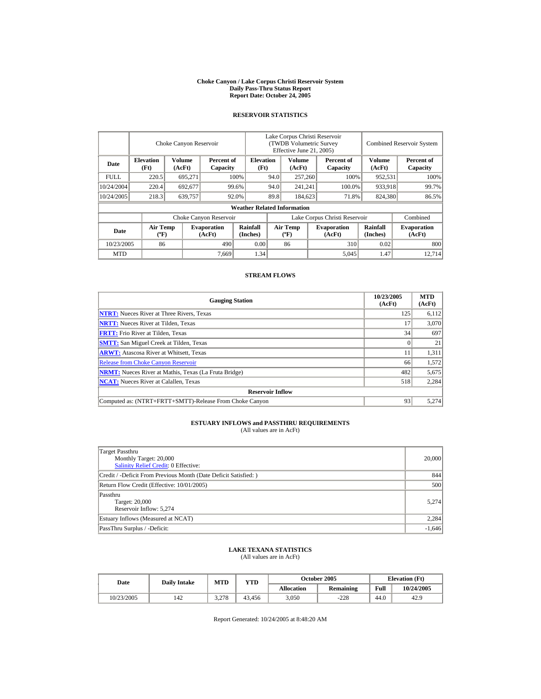#### **Choke Canyon / Lake Corpus Christi Reservoir System Daily Pass-Thru Status Report Report Date: October 24, 2005**

## **RESERVOIR STATISTICS**

|             | Choke Canyon Reservoir                      |                  |                              |                                    | Lake Corpus Christi Reservoir<br>(TWDB Volumetric Survey<br>Effective June 21, 2005) |                                             |  |                              |                             | <b>Combined Reservoir System</b> |  |  |
|-------------|---------------------------------------------|------------------|------------------------------|------------------------------------|--------------------------------------------------------------------------------------|---------------------------------------------|--|------------------------------|-----------------------------|----------------------------------|--|--|
| Date        | <b>Elevation</b><br>(Ft)                    | Volume<br>(AcFt) | Percent of<br>Capacity       | <b>Elevation</b><br>(Ft)           |                                                                                      | Volume<br>(AcFt)                            |  | Percent of<br>Capacity       | Volume<br>(AcFt)            | Percent of<br>Capacity           |  |  |
| <b>FULL</b> | 220.5                                       | 695,271          |                              | 100%                               | 94.0                                                                                 | 257,260                                     |  | 100%                         | 952,531                     | 100%                             |  |  |
| 10/24/2004  | 220.4                                       | 692,677          |                              | 99.6%                              | 94.0                                                                                 | 241,241                                     |  | 100.0%                       | 933,918                     | 99.7%                            |  |  |
| 10/24/2005  | 218.3                                       | 639,757          |                              | 92.0%                              | 89.8                                                                                 | 184,623                                     |  | 71.8%                        | 824,380                     | 86.5%                            |  |  |
|             |                                             |                  |                              | <b>Weather Related Information</b> |                                                                                      |                                             |  |                              |                             |                                  |  |  |
|             |                                             |                  | Choke Canyon Reservoir       |                                    | Lake Corpus Christi Reservoir                                                        |                                             |  |                              |                             | Combined                         |  |  |
| Date        | <b>Air Temp</b><br>$({}^{\circ}\mathrm{F})$ |                  | <b>Evaporation</b><br>(AcFt) | Rainfall<br>(Inches)               |                                                                                      | <b>Air Temp</b><br>$({}^{\circ}\mathbf{F})$ |  | <b>Evaporation</b><br>(AcFt) | <b>Rainfall</b><br>(Inches) | <b>Evaporation</b><br>(AcFt)     |  |  |
| 10/23/2005  | 86                                          |                  | 490                          | 0.00                               |                                                                                      | 86                                          |  | 310                          | 0.02                        | 800                              |  |  |
| <b>MTD</b>  |                                             |                  | 7,669                        | 1.34                               |                                                                                      |                                             |  | 5,045                        | 1.47                        | 12.714                           |  |  |

## **STREAM FLOWS**

| <b>Gauging Station</b>                                       | 10/23/2005<br>(AcFt) | <b>MTD</b><br>(AcFt) |
|--------------------------------------------------------------|----------------------|----------------------|
| <b>NTRT:</b> Nueces River at Three Rivers, Texas             | 125                  | 6,112                |
| <b>NRTT:</b> Nueces River at Tilden, Texas                   |                      | 3,070                |
| <b>FRTT:</b> Frio River at Tilden, Texas                     | 34                   | 697                  |
| <b>SMTT:</b> San Miguel Creek at Tilden, Texas               |                      | 21                   |
| <b>ARWT:</b> Atascosa River at Whitsett, Texas               |                      | 1,311                |
| <b>Release from Choke Canyon Reservoir</b>                   | 66                   | 1,572                |
| <b>NRMT:</b> Nueces River at Mathis, Texas (La Fruta Bridge) | 482                  | 5,675                |
| <b>NCAT:</b> Nueces River at Calallen, Texas                 | 518                  | 2,284                |
| <b>Reservoir Inflow</b>                                      |                      |                      |
| Computed as: (NTRT+FRTT+SMTT)-Release From Choke Canyon      | 93                   | 5.274                |

# **ESTUARY INFLOWS and PASSTHRU REQUIREMENTS**<br>(All values are in AcFt)

| Target Passthru<br>Monthly Target: 20,000<br>Salinity Relief Credit: 0 Effective: | 20,000   |
|-----------------------------------------------------------------------------------|----------|
| Credit / -Deficit From Previous Month (Date Deficit Satisfied:)                   | 844      |
| Return Flow Credit (Effective: 10/01/2005)                                        | 500      |
| Passthru<br>Target: 20,000<br>Reservoir Inflow: 5,274                             | 5.274    |
| Estuary Inflows (Measured at NCAT)                                                | 2,284    |
| PassThru Surplus / -Deficit:                                                      | $-1,646$ |

## **LAKE TEXANA STATISTICS**

(All values are in AcFt)

| Date       | <b>Daily Intake</b> | MTD   | VTD    |            | October 2005 | <b>Elevation</b> (Ft) |            |
|------------|---------------------|-------|--------|------------|--------------|-----------------------|------------|
|            |                     |       |        | Allocation | Remaining    | Full                  | 10/24/2005 |
| 10/23/2005 | 142                 | 3.278 | 43.456 | 3,050      | $-228$       | 44.0                  | 42.9       |

Report Generated: 10/24/2005 at 8:48:20 AM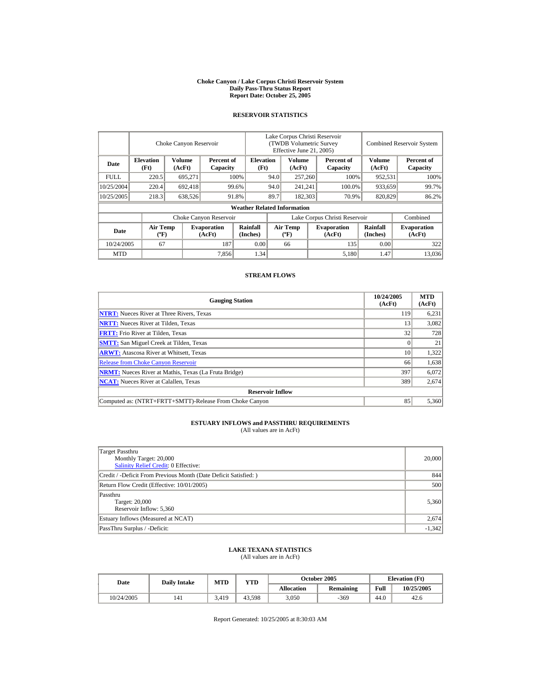#### **Choke Canyon / Lake Corpus Christi Reservoir System Daily Pass-Thru Status Report Report Date: October 25, 2005**

## **RESERVOIR STATISTICS**

|             | Choke Canyon Reservoir                      |                  |                              |                                    | Lake Corpus Christi Reservoir<br>(TWDB Volumetric Survey<br>Effective June 21, 2005) |                                             |  |                              | <b>Combined Reservoir System</b> |                              |  |
|-------------|---------------------------------------------|------------------|------------------------------|------------------------------------|--------------------------------------------------------------------------------------|---------------------------------------------|--|------------------------------|----------------------------------|------------------------------|--|
| Date        | <b>Elevation</b><br>(Ft)                    | Volume<br>(AcFt) | Percent of<br>Capacity       | <b>Elevation</b><br>(Ft)           |                                                                                      | Volume<br>(AcFt)                            |  | Percent of<br>Capacity       | Volume<br>(AcFt)                 | Percent of<br>Capacity       |  |
| <b>FULL</b> | 220.5                                       | 695,271          |                              | 100%                               | 94.0<br>257,260                                                                      |                                             |  | 100%                         | 952,531                          | 100%                         |  |
| 10/25/2004  | 220.4                                       | 692,418          |                              | 99.6%                              | 94.0                                                                                 | 241,241                                     |  | 100.0%                       | 933,659                          | 99.7%                        |  |
| 10/25/2005  | 218.3                                       | 638,526          |                              | 91.8%                              | 89.7                                                                                 | 182,303                                     |  | 70.9%                        | 820,829                          | 86.2%                        |  |
|             |                                             |                  |                              | <b>Weather Related Information</b> |                                                                                      |                                             |  |                              |                                  |                              |  |
|             |                                             |                  | Choke Canyon Reservoir       |                                    | Lake Corpus Christi Reservoir                                                        |                                             |  |                              |                                  | Combined                     |  |
| Date        | <b>Air Temp</b><br>$({}^{\circ}\mathrm{F})$ |                  | <b>Evaporation</b><br>(AcFt) | Rainfall<br>(Inches)               |                                                                                      | <b>Air Temp</b><br>$({}^{\circ}\mathbf{F})$ |  | <b>Evaporation</b><br>(AcFt) | Rainfall<br>(Inches)             | <b>Evaporation</b><br>(AcFt) |  |
| 10/24/2005  | 67                                          |                  | 187                          | 0.00                               |                                                                                      | 66                                          |  | 135                          | 0.00                             | 322                          |  |
| <b>MTD</b>  |                                             |                  | 7,856                        | 1.34                               |                                                                                      |                                             |  | 5,180                        | 1.47                             | 13.036                       |  |

## **STREAM FLOWS**

| <b>Gauging Station</b>                                       | 10/24/2005<br>(AcFt) | <b>MTD</b><br>(AcFt) |
|--------------------------------------------------------------|----------------------|----------------------|
| <b>NTRT:</b> Nueces River at Three Rivers, Texas             | 119                  | 6,231                |
| <b>NRTT:</b> Nueces River at Tilden, Texas                   | 13                   | 3,082                |
| <b>FRTT:</b> Frio River at Tilden, Texas                     | 32                   | 728                  |
| <b>SMTT:</b> San Miguel Creek at Tilden, Texas               |                      | 21                   |
| <b>ARWT:</b> Atascosa River at Whitsett, Texas               | 10                   | 1,322                |
| <b>Release from Choke Canyon Reservoir</b>                   | 66                   | 1,638                |
| <b>NRMT:</b> Nueces River at Mathis, Texas (La Fruta Bridge) | 397                  | 6,072                |
| <b>NCAT:</b> Nueces River at Calallen, Texas                 | 389                  | 2,674                |
| <b>Reservoir Inflow</b>                                      |                      |                      |
| Computed as: (NTRT+FRTT+SMTT)-Release From Choke Canyon      | 85                   | 5,360                |

# **ESTUARY INFLOWS and PASSTHRU REQUIREMENTS**<br>(All values are in AcFt)

| Target Passthru<br>Monthly Target: 20,000<br>Salinity Relief Credit: 0 Effective: | 20,000   |
|-----------------------------------------------------------------------------------|----------|
| Credit / -Deficit From Previous Month (Date Deficit Satisfied:)                   | 844      |
| Return Flow Credit (Effective: 10/01/2005)                                        | 500      |
| Passthru<br>Target: 20,000<br>Reservoir Inflow: 5,360                             | 5,360    |
| Estuary Inflows (Measured at NCAT)                                                | 2,674    |
| PassThru Surplus / -Deficit:                                                      | $-1,342$ |

## **LAKE TEXANA STATISTICS**

(All values are in AcFt)

| Date       | <b>Daily Intake</b> | <b>MTD</b> | YTD    |                   | <b>October 2005</b> |      | <b>Elevation</b> (Ft) |
|------------|---------------------|------------|--------|-------------------|---------------------|------|-----------------------|
|            |                     |            |        | <b>Allocation</b> | Remaining           | Full | 10/25/2005            |
| 10/24/2005 | 141                 | 3.419      | 43.598 | 3.050             | $-369$              | 44.0 | 42.6                  |

Report Generated: 10/25/2005 at 8:30:03 AM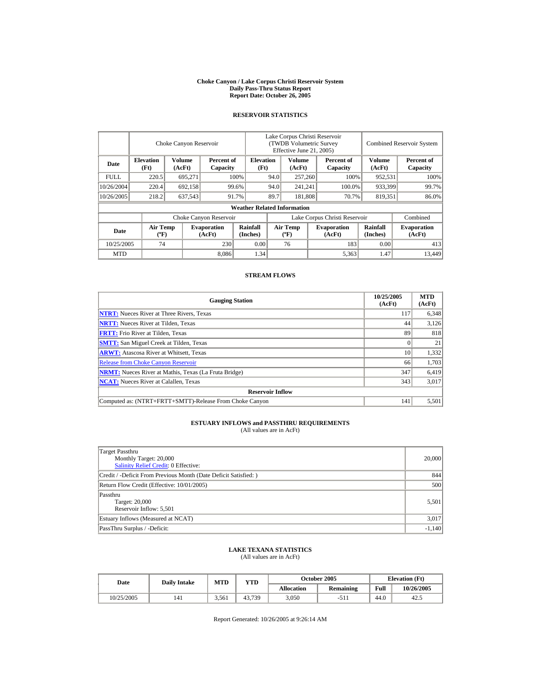#### **Choke Canyon / Lake Corpus Christi Reservoir System Daily Pass-Thru Status Report Report Date: October 26, 2005**

## **RESERVOIR STATISTICS**

|             | Choke Canyon Reservoir                      |                         |                              |                                    | Lake Corpus Christi Reservoir<br><b>(TWDB Volumetric Survey)</b><br>Effective June 21, 2005) |                                             |  |                              | <b>Combined Reservoir System</b> |                              |  |
|-------------|---------------------------------------------|-------------------------|------------------------------|------------------------------------|----------------------------------------------------------------------------------------------|---------------------------------------------|--|------------------------------|----------------------------------|------------------------------|--|
| Date        | <b>Elevation</b><br>(Ft)                    | <b>Volume</b><br>(AcFt) | Percent of<br>Capacity       | <b>Elevation</b><br>(Ft)           |                                                                                              | <b>Volume</b><br>(AcFt)                     |  | Percent of<br>Capacity       | Volume<br>(AcFt)                 | Percent of<br>Capacity       |  |
| <b>FULL</b> | 220.5                                       | 695,271                 |                              | 100%                               | 94.0                                                                                         | 257,260                                     |  | 100%                         | 952,531                          | 100%                         |  |
| 10/26/2004  | 220.4                                       | 692,158                 |                              | 94.0<br>99.6%                      |                                                                                              | 241,241                                     |  | 100.0%                       | 933,399                          | 99.7%                        |  |
| 10/26/2005  | 218.2                                       | 637,543                 |                              | 91.7%                              | 89.7<br>181,808                                                                              |                                             |  | 70.7%                        | 819,351                          | 86.0%                        |  |
|             |                                             |                         |                              | <b>Weather Related Information</b> |                                                                                              |                                             |  |                              |                                  |                              |  |
|             |                                             |                         | Choke Canyon Reservoir       |                                    | Lake Corpus Christi Reservoir                                                                |                                             |  |                              |                                  | Combined                     |  |
| Date        | <b>Air Temp</b><br>$({}^{\circ}\mathrm{F})$ |                         | <b>Evaporation</b><br>(AcFt) | Rainfall<br>(Inches)               |                                                                                              | <b>Air Temp</b><br>$({}^{\circ}\mathbf{F})$ |  | <b>Evaporation</b><br>(AcFt) | <b>Rainfall</b><br>(Inches)      | <b>Evaporation</b><br>(AcFt) |  |
| 10/25/2005  | 74                                          |                         | 230                          | 0.00                               |                                                                                              | 76                                          |  | 183                          | 0.00                             | 413                          |  |
| <b>MTD</b>  |                                             |                         | 8.086                        | 1.34                               |                                                                                              |                                             |  | 5,363                        | 1.47                             | 13.449                       |  |

## **STREAM FLOWS**

| <b>Gauging Station</b>                                       | 10/25/2005<br>(AcFt) | <b>MTD</b><br>(AcFt) |
|--------------------------------------------------------------|----------------------|----------------------|
| <b>NTRT:</b> Nueces River at Three Rivers, Texas             | 117                  | 6,348                |
| <b>NRTT:</b> Nueces River at Tilden, Texas                   | 44                   | 3,126                |
| <b>FRTT:</b> Frio River at Tilden, Texas                     | 89                   | 818                  |
| <b>SMTT:</b> San Miguel Creek at Tilden, Texas               |                      | 21                   |
| <b>ARWT:</b> Atascosa River at Whitsett, Texas               | 10                   | 1,332                |
| <b>Release from Choke Canyon Reservoir</b>                   | 66                   | 1,703                |
| <b>NRMT:</b> Nueces River at Mathis, Texas (La Fruta Bridge) | 347                  | 6,419                |
| <b>NCAT:</b> Nueces River at Calallen, Texas                 | 343                  | 3,017                |
| <b>Reservoir Inflow</b>                                      |                      |                      |
| Computed as: (NTRT+FRTT+SMTT)-Release From Choke Canyon      | 141                  | 5,501                |

# **ESTUARY INFLOWS and PASSTHRU REQUIREMENTS**<br>(All values are in AcFt)

| Target Passthru<br>Monthly Target: 20,000<br>Salinity Relief Credit: 0 Effective: | 20,000   |
|-----------------------------------------------------------------------------------|----------|
| Credit / -Deficit From Previous Month (Date Deficit Satisfied: )                  | 844      |
| Return Flow Credit (Effective: 10/01/2005)                                        | 500      |
| Passthru<br>Target: 20,000<br>Reservoir Inflow: 5,501                             | 5,501    |
| Estuary Inflows (Measured at NCAT)                                                | 3,017    |
| PassThru Surplus / -Deficit:                                                      | $-1,140$ |

## **LAKE TEXANA STATISTICS**

(All values are in AcFt)

| Date       | <b>Daily Intake</b> | <b>MTD</b> | VTD    |            | <b>October 2005</b> | <b>Elevation</b> (Ft) |            |
|------------|---------------------|------------|--------|------------|---------------------|-----------------------|------------|
|            |                     |            |        | Allocation | <b>Remaining</b>    | Full                  | 10/26/2005 |
| 10/25/2005 | 141                 | 3,561      | 43.739 | 3,050      | $-511$              | 44.0                  | 42.5       |

Report Generated: 10/26/2005 at 9:26:14 AM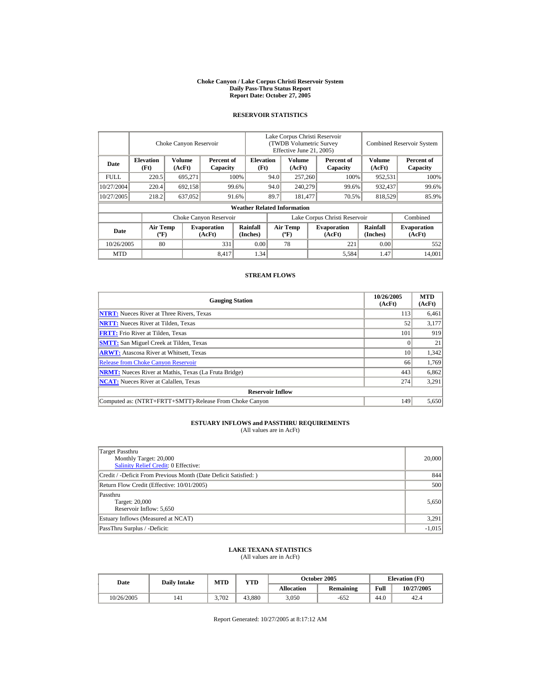#### **Choke Canyon / Lake Corpus Christi Reservoir System Daily Pass-Thru Status Report Report Date: October 27, 2005**

## **RESERVOIR STATISTICS**

|             | Choke Canyon Reservoir                      |                  |                              |                                    | Lake Corpus Christi Reservoir<br>(TWDB Volumetric Survey<br>Effective June 21, 2005) |                                             |  |                              |                      | <b>Combined Reservoir System</b> |
|-------------|---------------------------------------------|------------------|------------------------------|------------------------------------|--------------------------------------------------------------------------------------|---------------------------------------------|--|------------------------------|----------------------|----------------------------------|
| Date        | <b>Elevation</b><br>(Ft)                    | Volume<br>(AcFt) | Percent of<br>Capacity       | <b>Elevation</b><br>(Ft)           |                                                                                      | Volume<br>(AcFt)                            |  | Percent of<br>Capacity       | Volume<br>(AcFt)     | Percent of<br>Capacity           |
| <b>FULL</b> | 220.5                                       | 695,271          |                              | 100%                               | 94.0                                                                                 | 257,260                                     |  | 100%                         | 952,531              | 100%                             |
| 10/27/2004  | 220.4                                       | 692,158          |                              | 99.6%                              | 94.0<br>240,279                                                                      |                                             |  | 99.6%                        | 932,437              | 99.6%                            |
| 10/27/2005  | 218.2                                       | 637,052          |                              | 91.6%                              | 89.7                                                                                 | 181.477                                     |  | 70.5%                        | 818,529              | 85.9%                            |
|             |                                             |                  |                              | <b>Weather Related Information</b> |                                                                                      |                                             |  |                              |                      |                                  |
|             |                                             |                  | Choke Canyon Reservoir       |                                    | Lake Corpus Christi Reservoir                                                        |                                             |  |                              |                      | Combined                         |
| Date        | <b>Air Temp</b><br>$({}^{\circ}\mathrm{F})$ |                  | <b>Evaporation</b><br>(AcFt) | Rainfall<br>(Inches)               |                                                                                      | <b>Air Temp</b><br>$({}^{\circ}\mathbf{F})$ |  | <b>Evaporation</b><br>(AcFt) | Rainfall<br>(Inches) | <b>Evaporation</b><br>(AcFt)     |
| 10/26/2005  | 80                                          |                  | 331                          | 0.00                               |                                                                                      | 78                                          |  | 221                          | 0.00                 | 552                              |
| <b>MTD</b>  |                                             |                  | 8.417                        | 1.34                               |                                                                                      |                                             |  | 5,584                        | 1.47                 | 14.001                           |

## **STREAM FLOWS**

| <b>Gauging Station</b>                                       | 10/26/2005<br>(AcFt) | <b>MTD</b><br>(AcFt) |
|--------------------------------------------------------------|----------------------|----------------------|
| <b>NTRT:</b> Nueces River at Three Rivers, Texas             | 113                  | 6,461                |
| <b>NRTT:</b> Nueces River at Tilden, Texas                   | 52                   | 3,177                |
| <b>FRTT:</b> Frio River at Tilden, Texas                     | 101                  | 919                  |
| <b>SMTT:</b> San Miguel Creek at Tilden, Texas               |                      | 21                   |
| <b>ARWT:</b> Atascosa River at Whitsett, Texas               | 10                   | 1,342                |
| <b>Release from Choke Canyon Reservoir</b>                   | 66                   | 1,769                |
| <b>NRMT:</b> Nueces River at Mathis, Texas (La Fruta Bridge) | 443                  | 6,862                |
| <b>NCAT:</b> Nueces River at Calallen, Texas                 | 274                  | 3,291                |
| <b>Reservoir Inflow</b>                                      |                      |                      |
| Computed as: (NTRT+FRTT+SMTT)-Release From Choke Canyon      | 149                  | 5,650                |

# **ESTUARY INFLOWS and PASSTHRU REQUIREMENTS**<br>(All values are in AcFt)

| Target Passthru<br>Monthly Target: 20,000<br>Salinity Relief Credit: 0 Effective: | 20,000   |
|-----------------------------------------------------------------------------------|----------|
| Credit / -Deficit From Previous Month (Date Deficit Satisfied: )                  | 844      |
| Return Flow Credit (Effective: 10/01/2005)                                        | 500      |
| Passthru<br>Target: 20,000<br>Reservoir Inflow: 5,650                             | 5,650    |
| Estuary Inflows (Measured at NCAT)                                                | 3,291    |
| PassThru Surplus / -Deficit:                                                      | $-1,015$ |

## **LAKE TEXANA STATISTICS**

(All values are in AcFt)

| Date       | <b>Daily Intake</b> | <b>MTD</b> | VTD    |            | <b>October 2005</b> | <b>Elevation</b> (Ft) |            |
|------------|---------------------|------------|--------|------------|---------------------|-----------------------|------------|
|            |                     |            |        | Allocation | <b>Remaining</b>    | Full                  | 10/27/2005 |
| 10/26/2005 | 141                 | 3.702      | 43.880 | 3,050      | $-652$              | 44.0                  | 42.4       |

Report Generated: 10/27/2005 at 8:17:12 AM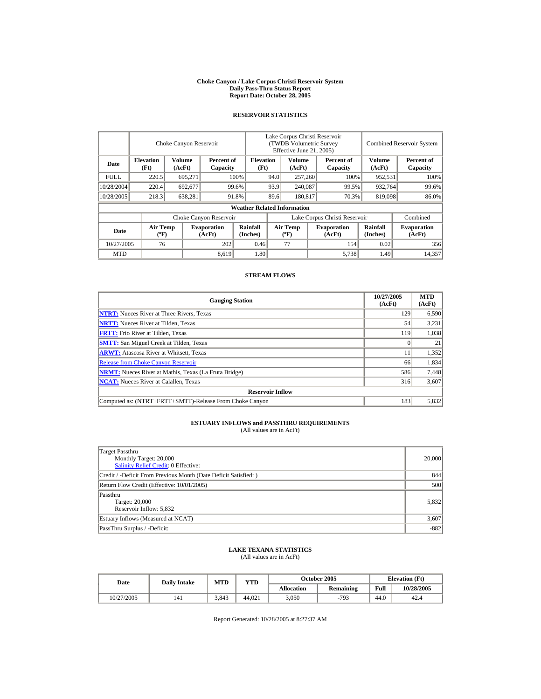#### **Choke Canyon / Lake Corpus Christi Reservoir System Daily Pass-Thru Status Report Report Date: October 28, 2005**

## **RESERVOIR STATISTICS**

|             | Choke Canyon Reservoir                      |                  |                              |                                    | Lake Corpus Christi Reservoir<br>(TWDB Volumetric Survey<br>Effective June 21, 2005) |                                             |  |                              | <b>Combined Reservoir System</b> |                              |  |
|-------------|---------------------------------------------|------------------|------------------------------|------------------------------------|--------------------------------------------------------------------------------------|---------------------------------------------|--|------------------------------|----------------------------------|------------------------------|--|
| Date        | <b>Elevation</b><br>(Ft)                    | Volume<br>(AcFt) | Percent of<br>Capacity       |                                    | <b>Elevation</b><br>(Ft)                                                             | Volume<br>(AcFt)                            |  | Percent of<br>Capacity       | Volume<br>(AcFt)                 | Percent of<br>Capacity       |  |
| <b>FULL</b> | 220.5                                       | 695,271          |                              | 100%                               | 94.0                                                                                 | 257,260                                     |  | 100%                         | 952,531                          | 100%                         |  |
| 10/28/2004  | 220.4                                       | 692,677          |                              | 99.6%                              | 93.9<br>240,087                                                                      |                                             |  | 99.5%                        | 932,764                          | 99.6%                        |  |
| 10/28/2005  | 218.3                                       | 638,281          |                              | 91.8%                              | 89.6                                                                                 | 180,817                                     |  | 70.3%                        | 819,098                          | 86.0%                        |  |
|             |                                             |                  |                              | <b>Weather Related Information</b> |                                                                                      |                                             |  |                              |                                  |                              |  |
|             |                                             |                  | Choke Canyon Reservoir       |                                    | Lake Corpus Christi Reservoir                                                        |                                             |  |                              |                                  | Combined                     |  |
| Date        | <b>Air Temp</b><br>$({}^{\circ}\mathrm{F})$ |                  | <b>Evaporation</b><br>(AcFt) | Rainfall<br>(Inches)               |                                                                                      | <b>Air Temp</b><br>$({}^{\circ}\mathbf{F})$ |  | <b>Evaporation</b><br>(AcFt) | Rainfall<br>(Inches)             | <b>Evaporation</b><br>(AcFt) |  |
| 10/27/2005  | 76                                          |                  | 202                          | 0.46                               |                                                                                      | 77                                          |  | 154                          | 0.02                             | 356                          |  |
| <b>MTD</b>  |                                             |                  | 8,619                        | 1.80                               |                                                                                      |                                             |  | 5,738                        | 1.49                             | 14,357                       |  |

## **STREAM FLOWS**

| <b>Gauging Station</b>                                       | 10/27/2005<br>(AcFt) | <b>MTD</b><br>(AcFt) |
|--------------------------------------------------------------|----------------------|----------------------|
| <b>NTRT:</b> Nueces River at Three Rivers, Texas             | 129                  | 6,590                |
| <b>NRTT:</b> Nueces River at Tilden, Texas                   | 54                   | 3,231                |
| <b>FRTT:</b> Frio River at Tilden, Texas                     | 119                  | 1,038                |
| <b>SMTT:</b> San Miguel Creek at Tilden, Texas               |                      | 21                   |
| <b>ARWT:</b> Atascosa River at Whitsett, Texas               |                      | 1,352                |
| <b>Release from Choke Canyon Reservoir</b>                   | 66                   | 1,834                |
| <b>NRMT:</b> Nueces River at Mathis, Texas (La Fruta Bridge) | 586                  | 7,448                |
| <b>NCAT:</b> Nueces River at Calallen, Texas                 | 316                  | 3,607                |
| <b>Reservoir Inflow</b>                                      |                      |                      |
| Computed as: (NTRT+FRTT+SMTT)-Release From Choke Canyon      | 183                  | 5,832                |

# **ESTUARY INFLOWS and PASSTHRU REQUIREMENTS**<br>(All values are in AcFt)

| Target Passthru<br>Monthly Target: 20,000<br>Salinity Relief Credit: 0 Effective: | 20,000 |
|-----------------------------------------------------------------------------------|--------|
| Credit / -Deficit From Previous Month (Date Deficit Satisfied: )                  | 844    |
| Return Flow Credit (Effective: 10/01/2005)                                        | 500    |
| Passthru<br>Target: 20,000<br>Reservoir Inflow: 5,832                             | 5,832  |
| Estuary Inflows (Measured at NCAT)                                                | 3,607  |
| PassThru Surplus / -Deficit:                                                      | $-882$ |

## **LAKE TEXANA STATISTICS**

(All values are in AcFt)

| Date       | <b>Daily Intake</b> | <b>MTD</b> | VTD    |            | <b>October 2005</b> | <b>Elevation</b> (Ft) |            |
|------------|---------------------|------------|--------|------------|---------------------|-----------------------|------------|
|            |                     |            |        | Allocation | <b>Remaining</b>    | Full                  | 10/28/2005 |
| 10/27/2005 | 141                 | 3.843      | 44.021 | 3,050      | $-793$              | 44.0                  | 42.4       |

Report Generated: 10/28/2005 at 8:27:37 AM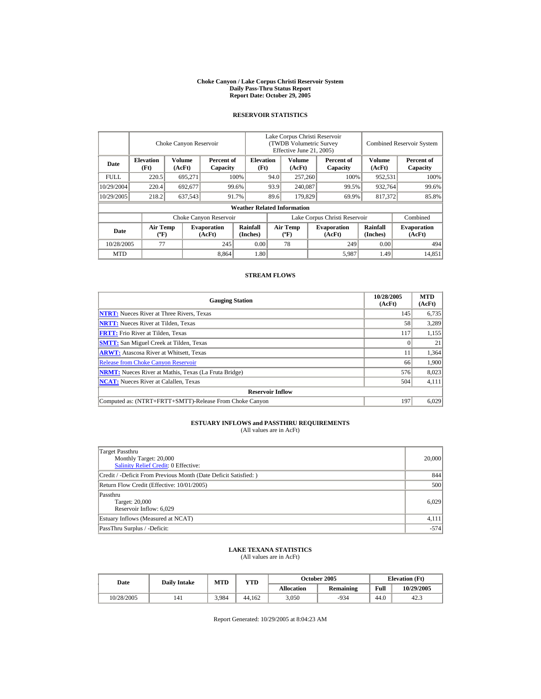#### **Choke Canyon / Lake Corpus Christi Reservoir System Daily Pass-Thru Status Report Report Date: October 29, 2005**

## **RESERVOIR STATISTICS**

|            | Choke Canyon Reservoir                |                  |                              |                                    | Lake Corpus Christi Reservoir<br>(TWDB Volumetric Survey<br>Effective June 21, 2005) |                                          |  |                              | <b>Combined Reservoir System</b> |                              |  |
|------------|---------------------------------------|------------------|------------------------------|------------------------------------|--------------------------------------------------------------------------------------|------------------------------------------|--|------------------------------|----------------------------------|------------------------------|--|
| Date       | <b>Elevation</b><br>(Ft)              | Volume<br>(AcFt) | Percent of<br>Capacity       |                                    | <b>Elevation</b><br>(Ft)                                                             | Volume<br>(AcFt)                         |  | Percent of<br>Capacity       | <b>Volume</b><br>(AcFt)          | Percent of<br>Capacity       |  |
| FULL.      | 220.5                                 | 695,271          |                              | 100%                               | 94.0                                                                                 | 257,260                                  |  | 100%                         | 952,531                          | 100%                         |  |
| 10/29/2004 | 220.4                                 | 692,677          |                              | 99.6%                              | 93.9                                                                                 | 240,087                                  |  | 99.5%                        | 932,764                          | 99.6%                        |  |
| 10/29/2005 | 218.2                                 | 637,543          |                              | 91.7%                              | 89.6                                                                                 | 179,829                                  |  | 69.9%                        | 817,372                          | 85.8%                        |  |
|            |                                       |                  |                              | <b>Weather Related Information</b> |                                                                                      |                                          |  |                              |                                  |                              |  |
|            |                                       |                  | Choke Canyon Reservoir       |                                    | Lake Corpus Christi Reservoir                                                        |                                          |  |                              |                                  | Combined                     |  |
| Date       | <b>Air Temp</b><br>$({}^o\mathrm{F})$ |                  | <b>Evaporation</b><br>(AcFt) | <b>Rainfall</b><br>(Inches)        |                                                                                      | <b>Air Temp</b><br>$({}^{\circ}{\rm F})$ |  | <b>Evaporation</b><br>(AcFt) | <b>Rainfall</b><br>(Inches)      | <b>Evaporation</b><br>(AcFt) |  |
| 10/28/2005 | 77                                    |                  | 245                          | 0.00                               |                                                                                      | 78                                       |  | 249                          | 0.00                             | 494                          |  |
| <b>MTD</b> |                                       |                  | 8.864                        | 1.80                               |                                                                                      |                                          |  | 5,987                        | 1.49                             | 14.851                       |  |

## **STREAM FLOWS**

| <b>Gauging Station</b>                                       | 10/28/2005<br>(AcFt) | <b>MTD</b><br>(AcFt) |
|--------------------------------------------------------------|----------------------|----------------------|
| <b>NTRT:</b> Nueces River at Three Rivers, Texas             | 145                  | 6,735                |
| <b>NRTT:</b> Nueces River at Tilden, Texas                   | 58                   | 3,289                |
| <b>FRTT:</b> Frio River at Tilden, Texas                     | 117                  | 1,155                |
| <b>SMTT:</b> San Miguel Creek at Tilden, Texas               |                      | 21                   |
| <b>ARWT:</b> Atascosa River at Whitsett, Texas               |                      | 1,364                |
| <b>Release from Choke Canyon Reservoir</b>                   | 66                   | 1,900                |
| <b>NRMT:</b> Nueces River at Mathis, Texas (La Fruta Bridge) | 576                  | 8,023                |
| <b>NCAT:</b> Nueces River at Calallen, Texas                 | 504                  | 4,111                |
| <b>Reservoir Inflow</b>                                      |                      |                      |
| Computed as: (NTRT+FRTT+SMTT)-Release From Choke Canyon      | 197                  | 6.029                |

# **ESTUARY INFLOWS and PASSTHRU REQUIREMENTS**<br>(All values are in AcFt)

| Target Passthru<br>Monthly Target: 20,000<br>Salinity Relief Credit: 0 Effective: | 20,000 |
|-----------------------------------------------------------------------------------|--------|
| Credit / -Deficit From Previous Month (Date Deficit Satisfied:)                   | 844    |
| Return Flow Credit (Effective: 10/01/2005)                                        | 500    |
| Passthru<br>Target: 20,000<br>Reservoir Inflow: 6,029                             | 6.029  |
| Estuary Inflows (Measured at NCAT)                                                | 4,111  |
| PassThru Surplus / -Deficit:                                                      | $-574$ |

## **LAKE TEXANA STATISTICS**

(All values are in AcFt)

| Date       | <b>Daily Intake</b> | MTD   | VTD    |                   | <b>October 2005</b> | <b>Elevation</b> (Ft) |            |
|------------|---------------------|-------|--------|-------------------|---------------------|-----------------------|------------|
|            |                     |       |        | <b>Allocation</b> | <b>Remaining</b>    | Full                  | 10/29/2005 |
| 10/28/2005 | 141                 | 3,984 | 44.162 | 3,050             | $-934$              | 44.0                  | 42.3       |

Report Generated: 10/29/2005 at 8:04:23 AM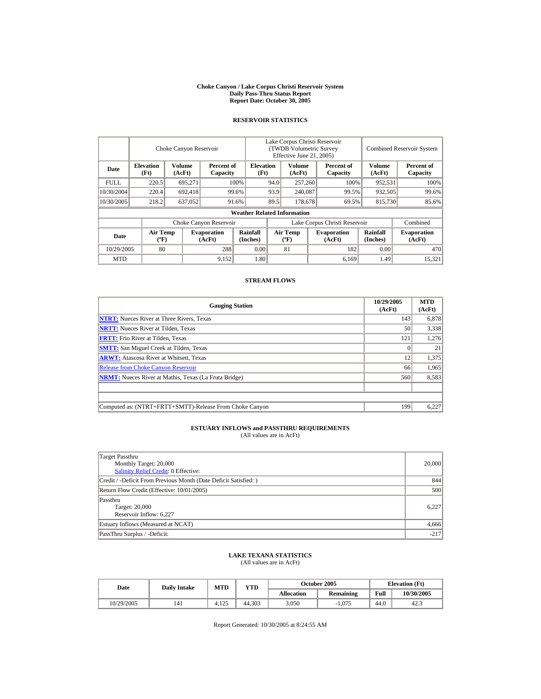#### **Choke Canyon / Lake Corpus Christi Reservoir System Daily Pass-Thru Status Report Report Date: October 30, 2005**

## **RESERVOIR STATISTICS**

|             |                                       | Choke Canyon Reservoir |                              |                                    | Lake Corpus Christi Reservoir<br><b>TWDB Volumetric Survey</b><br>Effective June 21, 2005) |                  |  |                              | <b>Combined Reservoir System</b> |                              |
|-------------|---------------------------------------|------------------------|------------------------------|------------------------------------|--------------------------------------------------------------------------------------------|------------------|--|------------------------------|----------------------------------|------------------------------|
| Date        | <b>Elevation</b><br>(Ft)              | Volume<br>(AcFt)       | Percent of<br>Capacity       |                                    | <b>Elevation</b><br>(Ft)                                                                   | Volume<br>(AcFt) |  | Percent of<br>Capacity       | Volume<br>(AcFt)                 | Percent of<br>Capacity       |
| <b>FULL</b> | 220.5                                 | 695.271                |                              | 100%                               | 94.0                                                                                       | 257,260          |  | 100%                         | 952.531                          | 100%                         |
| 10/30/2004  | 220.4                                 | 692.418                |                              | 99.6%                              | 93.9<br>240,087                                                                            |                  |  | 99.5%                        | 932.505                          | 99.6%                        |
| 10/30/2005  | 218.2                                 | 637,052                |                              | 91.6%                              | 89.5                                                                                       | 178,678          |  | 69.5%                        | 815,730                          | 85.6%                        |
|             |                                       |                        |                              | <b>Weather Related Information</b> |                                                                                            |                  |  |                              |                                  |                              |
|             |                                       |                        | Choke Canyon Reservoir       |                                    | Lake Corpus Christi Reservoir                                                              |                  |  |                              |                                  | Combined                     |
| Date        | <b>Air Temp</b><br>$({}^o\mathrm{F})$ |                        | <b>Evaporation</b><br>(AcFt) | Rainfall<br>(Inches)               | <b>Air Temp</b><br>$({}^{\circ}\mathrm{F})$                                                |                  |  | <b>Evaporation</b><br>(AcFt) | Rainfall<br>(Inches)             | <b>Evaporation</b><br>(AcFt) |
| 10/29/2005  | 80                                    |                        | 288                          | 0.00                               |                                                                                            | 81               |  | 182                          | 0.00                             | 470                          |
| <b>MTD</b>  |                                       |                        | 9.152                        | 1.80                               |                                                                                            |                  |  | 6.169                        | 1.49                             | 15,321                       |

## **STREAM FLOWS**

| <b>Gauging Station</b>                                       | 10/29/2005<br>(AcFt) | <b>MTD</b><br>(AcFt) |
|--------------------------------------------------------------|----------------------|----------------------|
| <b>NTRT:</b> Nueces River at Three Rivers, Texas             | 143                  | 6,878                |
| <b>NRTT:</b> Nueces River at Tilden, Texas                   | 50                   | 3,338                |
| <b>FRTT:</b> Frio River at Tilden, Texas                     | 121                  | 1,276                |
| <b>SMTT:</b> San Miguel Creek at Tilden, Texas               |                      | 21                   |
| <b>ARWT:</b> Atascosa River at Whitsett, Texas               | 12                   | 1,375                |
| <b>Release from Choke Canyon Reservoir</b>                   | 66                   | 1,965                |
| <b>NRMT:</b> Nueces River at Mathis, Texas (La Fruta Bridge) | 560                  | 8,583                |
|                                                              |                      |                      |
|                                                              |                      |                      |
| Computed as: (NTRT+FRTT+SMTT)-Release From Choke Canyon      | 199                  | 6,227                |

## **ESTUARY INFLOWS and PASSTHRU REQUIREMENTS**

(All values are in AcFt)

| Target Passthru<br>Monthly Target: 20,000<br>Salinity Relief Credit: 0 Effective: | 20,000 |
|-----------------------------------------------------------------------------------|--------|
| Credit / -Deficit From Previous Month (Date Deficit Satisfied:)                   | 844    |
| Return Flow Credit (Effective: 10/01/2005)                                        | 500    |
| Passthru<br>Target: 20,000<br>Reservoir Inflow: 6,227                             | 6.227  |
| Estuary Inflows (Measured at NCAT)                                                | 4,666  |
| PassThru Surplus / -Deficit:                                                      | $-217$ |

### **LAKE TEXANA STATISTICS** (All values are in AcFt)

| Date       | <b>Daily Intake</b> | <b>MTD</b> | VTD    |            | October 2005     | <b>Elevation</b> (Ft) |            |
|------------|---------------------|------------|--------|------------|------------------|-----------------------|------------|
|            |                     |            |        | Allocation | <b>Remaining</b> | Full                  | 10/30/2005 |
| 10/29/2005 | 141                 | 4.125      | 44.303 | 3,050      | $-1.075$         | 44.0                  | 42.3       |

Report Generated: 10/30/2005 at 8:24:55 AM